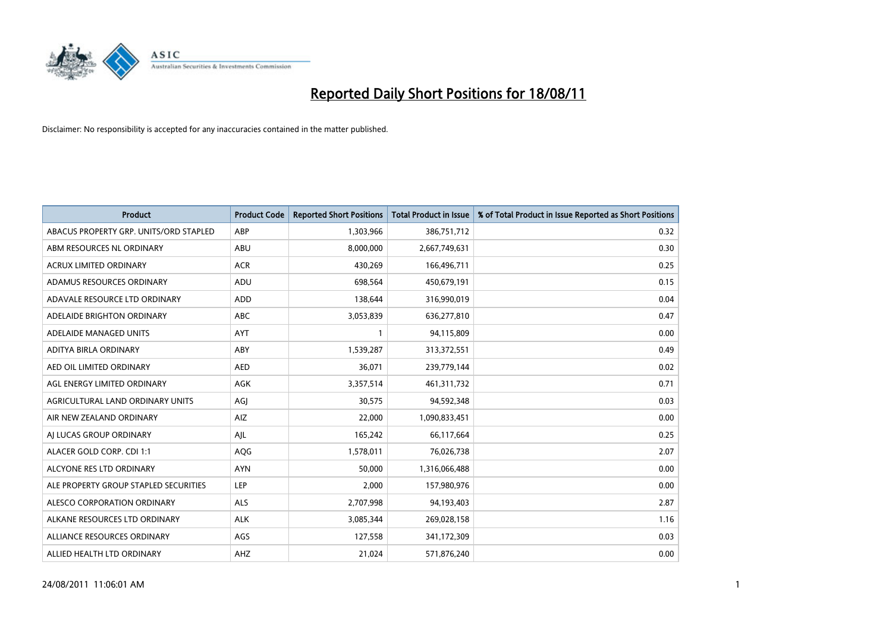

| <b>Product</b>                         | <b>Product Code</b> | <b>Reported Short Positions</b> | <b>Total Product in Issue</b> | % of Total Product in Issue Reported as Short Positions |
|----------------------------------------|---------------------|---------------------------------|-------------------------------|---------------------------------------------------------|
| ABACUS PROPERTY GRP. UNITS/ORD STAPLED | ABP                 | 1,303,966                       | 386,751,712                   | 0.32                                                    |
| ABM RESOURCES NL ORDINARY              | ABU                 | 8,000,000                       | 2,667,749,631                 | 0.30                                                    |
| <b>ACRUX LIMITED ORDINARY</b>          | <b>ACR</b>          | 430,269                         | 166,496,711                   | 0.25                                                    |
| ADAMUS RESOURCES ORDINARY              | ADU                 | 698,564                         | 450,679,191                   | 0.15                                                    |
| ADAVALE RESOURCE LTD ORDINARY          | <b>ADD</b>          | 138.644                         | 316,990,019                   | 0.04                                                    |
| ADELAIDE BRIGHTON ORDINARY             | <b>ABC</b>          | 3,053,839                       | 636,277,810                   | 0.47                                                    |
| ADELAIDE MANAGED UNITS                 | <b>AYT</b>          |                                 | 94,115,809                    | 0.00                                                    |
| ADITYA BIRLA ORDINARY                  | ABY                 | 1,539,287                       | 313,372,551                   | 0.49                                                    |
| AED OIL LIMITED ORDINARY               | <b>AED</b>          | 36,071                          | 239,779,144                   | 0.02                                                    |
| AGL ENERGY LIMITED ORDINARY            | <b>AGK</b>          | 3,357,514                       | 461,311,732                   | 0.71                                                    |
| AGRICULTURAL LAND ORDINARY UNITS       | AGJ                 | 30,575                          | 94,592,348                    | 0.03                                                    |
| AIR NEW ZEALAND ORDINARY               | AIZ                 | 22,000                          | 1,090,833,451                 | 0.00                                                    |
| AI LUCAS GROUP ORDINARY                | AJL                 | 165,242                         | 66,117,664                    | 0.25                                                    |
| ALACER GOLD CORP. CDI 1:1              | AQG                 | 1,578,011                       | 76,026,738                    | 2.07                                                    |
| ALCYONE RES LTD ORDINARY               | <b>AYN</b>          | 50,000                          | 1,316,066,488                 | 0.00                                                    |
| ALE PROPERTY GROUP STAPLED SECURITIES  | LEP                 | 2,000                           | 157,980,976                   | 0.00                                                    |
| ALESCO CORPORATION ORDINARY            | <b>ALS</b>          | 2,707,998                       | 94,193,403                    | 2.87                                                    |
| ALKANE RESOURCES LTD ORDINARY          | <b>ALK</b>          | 3,085,344                       | 269,028,158                   | 1.16                                                    |
| ALLIANCE RESOURCES ORDINARY            | AGS                 | 127,558                         | 341,172,309                   | 0.03                                                    |
| ALLIED HEALTH LTD ORDINARY             | <b>AHZ</b>          | 21,024                          | 571,876,240                   | 0.00                                                    |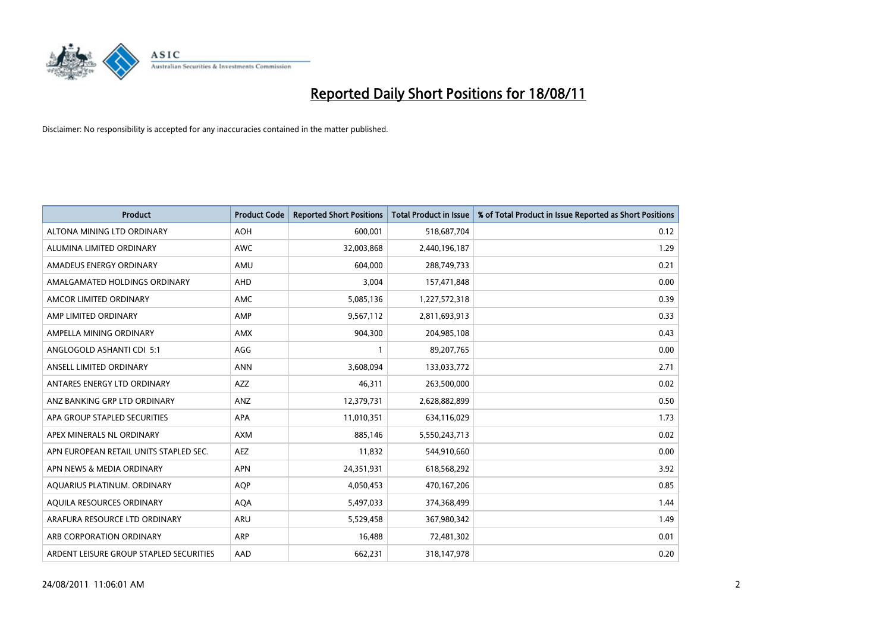

| <b>Product</b>                          | <b>Product Code</b> | <b>Reported Short Positions</b> | Total Product in Issue | % of Total Product in Issue Reported as Short Positions |
|-----------------------------------------|---------------------|---------------------------------|------------------------|---------------------------------------------------------|
| ALTONA MINING LTD ORDINARY              | <b>AOH</b>          | 600,001                         | 518,687,704            | 0.12                                                    |
| ALUMINA LIMITED ORDINARY                | <b>AWC</b>          | 32,003,868                      | 2,440,196,187          | 1.29                                                    |
| AMADEUS ENERGY ORDINARY                 | AMU                 | 604.000                         | 288,749,733            | 0.21                                                    |
| AMALGAMATED HOLDINGS ORDINARY           | AHD                 | 3,004                           | 157,471,848            | 0.00                                                    |
| AMCOR LIMITED ORDINARY                  | <b>AMC</b>          | 5,085,136                       | 1,227,572,318          | 0.39                                                    |
| AMP LIMITED ORDINARY                    | AMP                 | 9,567,112                       | 2,811,693,913          | 0.33                                                    |
| AMPELLA MINING ORDINARY                 | <b>AMX</b>          | 904,300                         | 204,985,108            | 0.43                                                    |
| ANGLOGOLD ASHANTI CDI 5:1               | AGG                 |                                 | 89,207,765             | 0.00                                                    |
| ANSELL LIMITED ORDINARY                 | <b>ANN</b>          | 3,608,094                       | 133,033,772            | 2.71                                                    |
| ANTARES ENERGY LTD ORDINARY             | <b>AZZ</b>          | 46,311                          | 263,500,000            | 0.02                                                    |
| ANZ BANKING GRP LTD ORDINARY            | ANZ                 | 12,379,731                      | 2,628,882,899          | 0.50                                                    |
| APA GROUP STAPLED SECURITIES            | <b>APA</b>          | 11,010,351                      | 634,116,029            | 1.73                                                    |
| APEX MINERALS NL ORDINARY               | <b>AXM</b>          | 885,146                         | 5,550,243,713          | 0.02                                                    |
| APN EUROPEAN RETAIL UNITS STAPLED SEC.  | <b>AEZ</b>          | 11,832                          | 544,910,660            | 0.00                                                    |
| APN NEWS & MEDIA ORDINARY               | <b>APN</b>          | 24,351,931                      | 618,568,292            | 3.92                                                    |
| AQUARIUS PLATINUM. ORDINARY             | <b>AOP</b>          | 4,050,453                       | 470,167,206            | 0.85                                                    |
| AQUILA RESOURCES ORDINARY               | <b>AQA</b>          | 5,497,033                       | 374,368,499            | 1.44                                                    |
| ARAFURA RESOURCE LTD ORDINARY           | <b>ARU</b>          | 5,529,458                       | 367,980,342            | 1.49                                                    |
| ARB CORPORATION ORDINARY                | <b>ARP</b>          | 16,488                          | 72,481,302             | 0.01                                                    |
| ARDENT LEISURE GROUP STAPLED SECURITIES | AAD                 | 662,231                         | 318,147,978            | 0.20                                                    |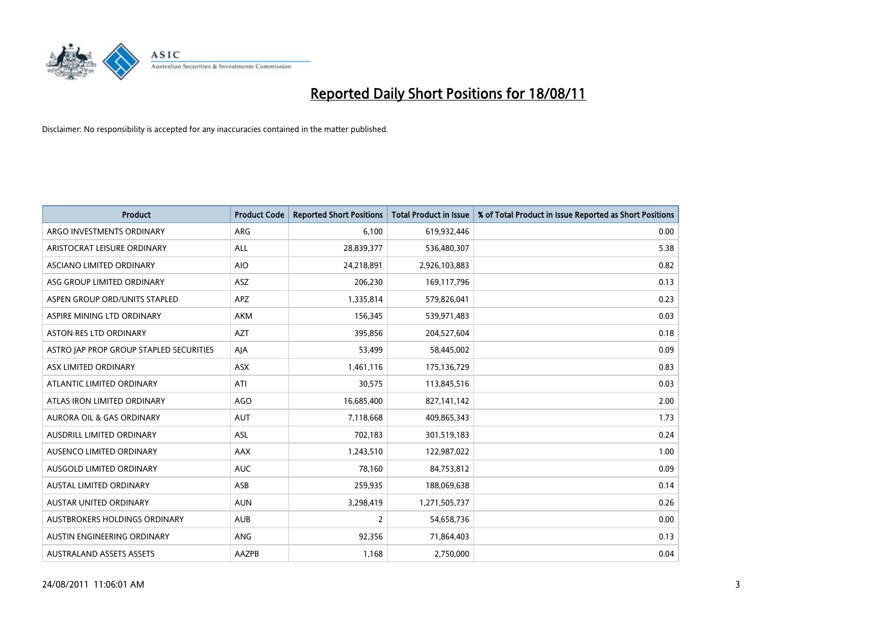

| <b>Product</b>                          | <b>Product Code</b> | <b>Reported Short Positions</b> | <b>Total Product in Issue</b> | % of Total Product in Issue Reported as Short Positions |
|-----------------------------------------|---------------------|---------------------------------|-------------------------------|---------------------------------------------------------|
| ARGO INVESTMENTS ORDINARY               | ARG                 | 6,100                           | 619,932,446                   | 0.00                                                    |
| ARISTOCRAT LEISURE ORDINARY             | ALL                 | 28,839,377                      | 536,480,307                   | 5.38                                                    |
| ASCIANO LIMITED ORDINARY                | <b>AIO</b>          | 24,218,891                      | 2,926,103,883                 | 0.82                                                    |
| ASG GROUP LIMITED ORDINARY              | <b>ASZ</b>          | 206,230                         | 169,117,796                   | 0.13                                                    |
| ASPEN GROUP ORD/UNITS STAPLED           | <b>APZ</b>          | 1,335,814                       | 579,826,041                   | 0.23                                                    |
| ASPIRE MINING LTD ORDINARY              | <b>AKM</b>          | 156,345                         | 539,971,483                   | 0.03                                                    |
| ASTON RES LTD ORDINARY                  | <b>AZT</b>          | 395,856                         | 204,527,604                   | 0.18                                                    |
| ASTRO JAP PROP GROUP STAPLED SECURITIES | AJA                 | 53,499                          | 58,445,002                    | 0.09                                                    |
| ASX LIMITED ORDINARY                    | <b>ASX</b>          | 1,461,116                       | 175,136,729                   | 0.83                                                    |
| ATLANTIC LIMITED ORDINARY               | ATI                 | 30,575                          | 113,845,516                   | 0.03                                                    |
| ATLAS IRON LIMITED ORDINARY             | <b>AGO</b>          | 16,685,400                      | 827,141,142                   | 2.00                                                    |
| <b>AURORA OIL &amp; GAS ORDINARY</b>    | <b>AUT</b>          | 7,118,668                       | 409,865,343                   | 1.73                                                    |
| AUSDRILL LIMITED ORDINARY               | <b>ASL</b>          | 702,183                         | 301,519,183                   | 0.24                                                    |
| AUSENCO LIMITED ORDINARY                | AAX                 | 1,243,510                       | 122,987,022                   | 1.00                                                    |
| AUSGOLD LIMITED ORDINARY                | <b>AUC</b>          | 78,160                          | 84,753,812                    | 0.09                                                    |
| <b>AUSTAL LIMITED ORDINARY</b>          | ASB                 | 259,935                         | 188,069,638                   | 0.14                                                    |
| AUSTAR UNITED ORDINARY                  | <b>AUN</b>          | 3,298,419                       | 1,271,505,737                 | 0.26                                                    |
| <b>AUSTBROKERS HOLDINGS ORDINARY</b>    | <b>AUB</b>          | $\overline{2}$                  | 54,658,736                    | 0.00                                                    |
| AUSTIN ENGINEERING ORDINARY             | <b>ANG</b>          | 92,356                          | 71,864,403                    | 0.13                                                    |
| <b>AUSTRALAND ASSETS ASSETS</b>         | AAZPB               | 1,168                           | 2,750,000                     | 0.04                                                    |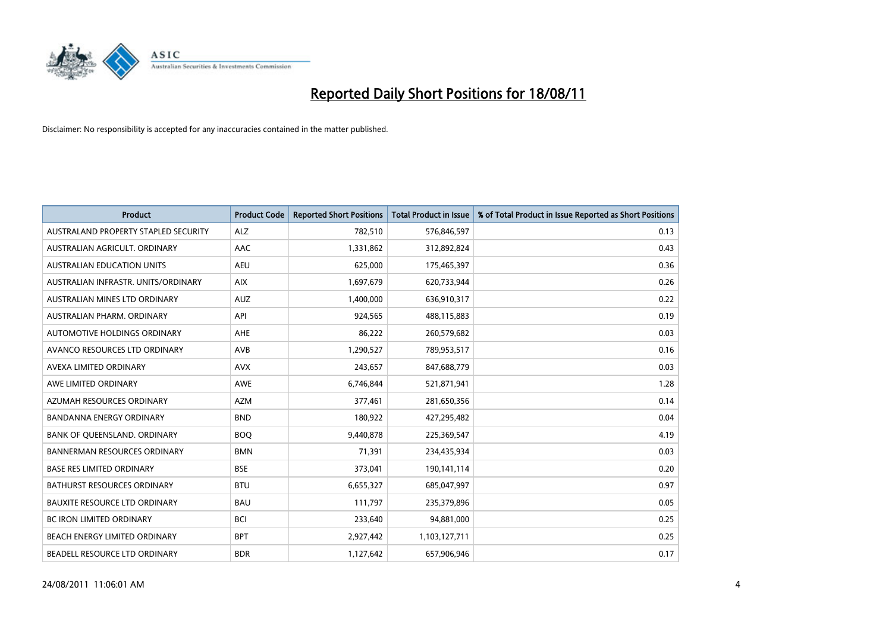

| <b>Product</b>                       | <b>Product Code</b> | <b>Reported Short Positions</b> | <b>Total Product in Issue</b> | % of Total Product in Issue Reported as Short Positions |
|--------------------------------------|---------------------|---------------------------------|-------------------------------|---------------------------------------------------------|
| AUSTRALAND PROPERTY STAPLED SECURITY | <b>ALZ</b>          | 782,510                         | 576,846,597                   | 0.13                                                    |
| AUSTRALIAN AGRICULT. ORDINARY        | AAC                 | 1,331,862                       | 312,892,824                   | 0.43                                                    |
| <b>AUSTRALIAN EDUCATION UNITS</b>    | <b>AEU</b>          | 625,000                         | 175,465,397                   | 0.36                                                    |
| AUSTRALIAN INFRASTR, UNITS/ORDINARY  | <b>AIX</b>          | 1,697,679                       | 620,733,944                   | 0.26                                                    |
| AUSTRALIAN MINES LTD ORDINARY        | <b>AUZ</b>          | 1,400,000                       | 636,910,317                   | 0.22                                                    |
| AUSTRALIAN PHARM, ORDINARY           | API                 | 924,565                         | 488,115,883                   | 0.19                                                    |
| AUTOMOTIVE HOLDINGS ORDINARY         | <b>AHE</b>          | 86,222                          | 260,579,682                   | 0.03                                                    |
| AVANCO RESOURCES LTD ORDINARY        | AVB                 | 1,290,527                       | 789,953,517                   | 0.16                                                    |
| AVEXA LIMITED ORDINARY               | <b>AVX</b>          | 243,657                         | 847,688,779                   | 0.03                                                    |
| AWE LIMITED ORDINARY                 | AWE                 | 6,746,844                       | 521,871,941                   | 1.28                                                    |
| AZUMAH RESOURCES ORDINARY            | <b>AZM</b>          | 377,461                         | 281,650,356                   | 0.14                                                    |
| <b>BANDANNA ENERGY ORDINARY</b>      | <b>BND</b>          | 180,922                         | 427,295,482                   | 0.04                                                    |
| BANK OF QUEENSLAND. ORDINARY         | <b>BOQ</b>          | 9.440.878                       | 225,369,547                   | 4.19                                                    |
| <b>BANNERMAN RESOURCES ORDINARY</b>  | <b>BMN</b>          | 71,391                          | 234,435,934                   | 0.03                                                    |
| BASE RES LIMITED ORDINARY            | <b>BSE</b>          | 373,041                         | 190,141,114                   | 0.20                                                    |
| <b>BATHURST RESOURCES ORDINARY</b>   | <b>BTU</b>          | 6,655,327                       | 685,047,997                   | 0.97                                                    |
| <b>BAUXITE RESOURCE LTD ORDINARY</b> | <b>BAU</b>          | 111,797                         | 235,379,896                   | 0.05                                                    |
| BC IRON LIMITED ORDINARY             | <b>BCI</b>          | 233,640                         | 94,881,000                    | 0.25                                                    |
| BEACH ENERGY LIMITED ORDINARY        | <b>BPT</b>          | 2,927,442                       | 1,103,127,711                 | 0.25                                                    |
| BEADELL RESOURCE LTD ORDINARY        | <b>BDR</b>          | 1,127,642                       | 657,906,946                   | 0.17                                                    |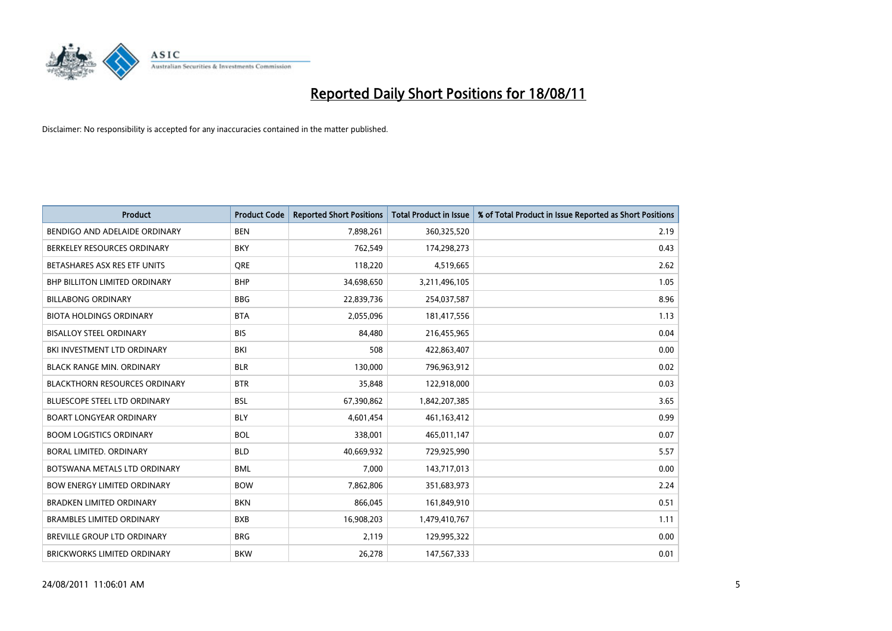

| <b>Product</b>                       | <b>Product Code</b> | <b>Reported Short Positions</b> | <b>Total Product in Issue</b> | % of Total Product in Issue Reported as Short Positions |
|--------------------------------------|---------------------|---------------------------------|-------------------------------|---------------------------------------------------------|
| BENDIGO AND ADELAIDE ORDINARY        | <b>BEN</b>          | 7,898,261                       | 360,325,520                   | 2.19                                                    |
| BERKELEY RESOURCES ORDINARY          | <b>BKY</b>          | 762,549                         | 174,298,273                   | 0.43                                                    |
| BETASHARES ASX RES ETF UNITS         | <b>ORE</b>          | 118,220                         | 4,519,665                     | 2.62                                                    |
| <b>BHP BILLITON LIMITED ORDINARY</b> | <b>BHP</b>          | 34,698,650                      | 3,211,496,105                 | 1.05                                                    |
| <b>BILLABONG ORDINARY</b>            | <b>BBG</b>          | 22,839,736                      | 254,037,587                   | 8.96                                                    |
| <b>BIOTA HOLDINGS ORDINARY</b>       | <b>BTA</b>          | 2,055,096                       | 181,417,556                   | 1.13                                                    |
| <b>BISALLOY STEEL ORDINARY</b>       | <b>BIS</b>          | 84.480                          | 216,455,965                   | 0.04                                                    |
| BKI INVESTMENT LTD ORDINARY          | BKI                 | 508                             | 422,863,407                   | 0.00                                                    |
| <b>BLACK RANGE MIN. ORDINARY</b>     | <b>BLR</b>          | 130,000                         | 796,963,912                   | 0.02                                                    |
| <b>BLACKTHORN RESOURCES ORDINARY</b> | <b>BTR</b>          | 35,848                          | 122,918,000                   | 0.03                                                    |
| <b>BLUESCOPE STEEL LTD ORDINARY</b>  | <b>BSL</b>          | 67,390,862                      | 1,842,207,385                 | 3.65                                                    |
| <b>BOART LONGYEAR ORDINARY</b>       | <b>BLY</b>          | 4,601,454                       | 461,163,412                   | 0.99                                                    |
| <b>BOOM LOGISTICS ORDINARY</b>       | <b>BOL</b>          | 338.001                         | 465,011,147                   | 0.07                                                    |
| BORAL LIMITED, ORDINARY              | <b>BLD</b>          | 40,669,932                      | 729,925,990                   | 5.57                                                    |
| BOTSWANA METALS LTD ORDINARY         | <b>BML</b>          | 7,000                           | 143,717,013                   | 0.00                                                    |
| <b>BOW ENERGY LIMITED ORDINARY</b>   | <b>BOW</b>          | 7,862,806                       | 351,683,973                   | 2.24                                                    |
| <b>BRADKEN LIMITED ORDINARY</b>      | <b>BKN</b>          | 866,045                         | 161,849,910                   | 0.51                                                    |
| <b>BRAMBLES LIMITED ORDINARY</b>     | <b>BXB</b>          | 16,908,203                      | 1,479,410,767                 | 1.11                                                    |
| <b>BREVILLE GROUP LTD ORDINARY</b>   | <b>BRG</b>          | 2,119                           | 129,995,322                   | 0.00                                                    |
| <b>BRICKWORKS LIMITED ORDINARY</b>   | <b>BKW</b>          | 26,278                          | 147,567,333                   | 0.01                                                    |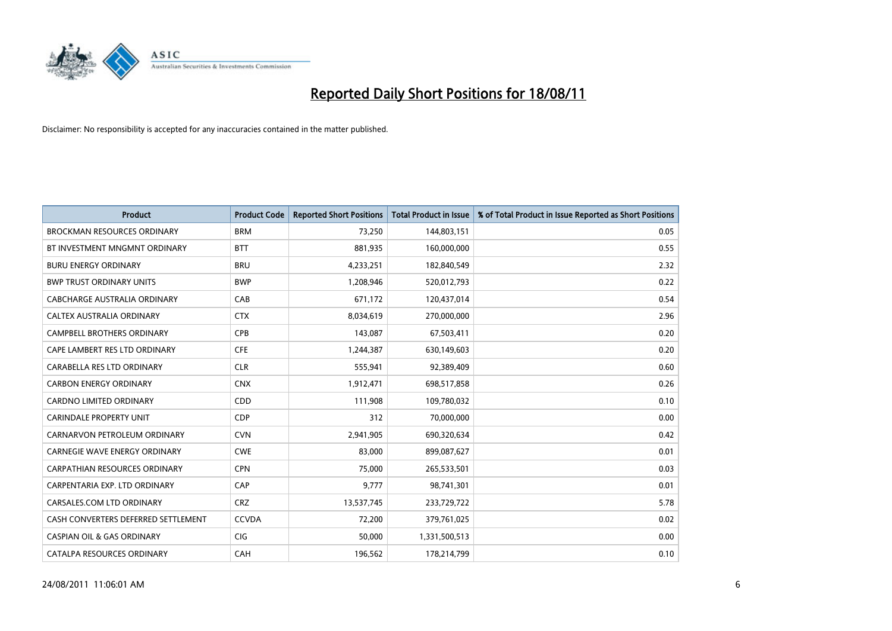

| <b>Product</b>                        | <b>Product Code</b> | <b>Reported Short Positions</b> | <b>Total Product in Issue</b> | % of Total Product in Issue Reported as Short Positions |
|---------------------------------------|---------------------|---------------------------------|-------------------------------|---------------------------------------------------------|
| <b>BROCKMAN RESOURCES ORDINARY</b>    | <b>BRM</b>          | 73,250                          | 144,803,151                   | 0.05                                                    |
| BT INVESTMENT MNGMNT ORDINARY         | <b>BTT</b>          | 881,935                         | 160,000,000                   | 0.55                                                    |
| <b>BURU ENERGY ORDINARY</b>           | <b>BRU</b>          | 4,233,251                       | 182,840,549                   | 2.32                                                    |
| <b>BWP TRUST ORDINARY UNITS</b>       | <b>BWP</b>          | 1,208,946                       | 520,012,793                   | 0.22                                                    |
| CABCHARGE AUSTRALIA ORDINARY          | CAB                 | 671,172                         | 120,437,014                   | 0.54                                                    |
| <b>CALTEX AUSTRALIA ORDINARY</b>      | <b>CTX</b>          | 8,034,619                       | 270,000,000                   | 2.96                                                    |
| <b>CAMPBELL BROTHERS ORDINARY</b>     | <b>CPB</b>          | 143,087                         | 67,503,411                    | 0.20                                                    |
| CAPE LAMBERT RES LTD ORDINARY         | <b>CFE</b>          | 1,244,387                       | 630,149,603                   | 0.20                                                    |
| CARABELLA RES LTD ORDINARY            | <b>CLR</b>          | 555,941                         | 92,389,409                    | 0.60                                                    |
| <b>CARBON ENERGY ORDINARY</b>         | <b>CNX</b>          | 1,912,471                       | 698,517,858                   | 0.26                                                    |
| CARDNO LIMITED ORDINARY               | <b>CDD</b>          | 111,908                         | 109,780,032                   | 0.10                                                    |
| <b>CARINDALE PROPERTY UNIT</b>        | <b>CDP</b>          | 312                             | 70,000,000                    | 0.00                                                    |
| CARNARVON PETROLEUM ORDINARY          | <b>CVN</b>          | 2,941,905                       | 690,320,634                   | 0.42                                                    |
| CARNEGIE WAVE ENERGY ORDINARY         | <b>CWE</b>          | 83,000                          | 899,087,627                   | 0.01                                                    |
| <b>CARPATHIAN RESOURCES ORDINARY</b>  | <b>CPN</b>          | 75,000                          | 265,533,501                   | 0.03                                                    |
| CARPENTARIA EXP. LTD ORDINARY         | CAP                 | 9,777                           | 98,741,301                    | 0.01                                                    |
| CARSALES.COM LTD ORDINARY             | <b>CRZ</b>          | 13,537,745                      | 233,729,722                   | 5.78                                                    |
| CASH CONVERTERS DEFERRED SETTLEMENT   | <b>CCVDA</b>        | 72,200                          | 379,761,025                   | 0.02                                                    |
| <b>CASPIAN OIL &amp; GAS ORDINARY</b> | CIG                 | 50,000                          | 1,331,500,513                 | 0.00                                                    |
| CATALPA RESOURCES ORDINARY            | CAH                 | 196,562                         | 178,214,799                   | 0.10                                                    |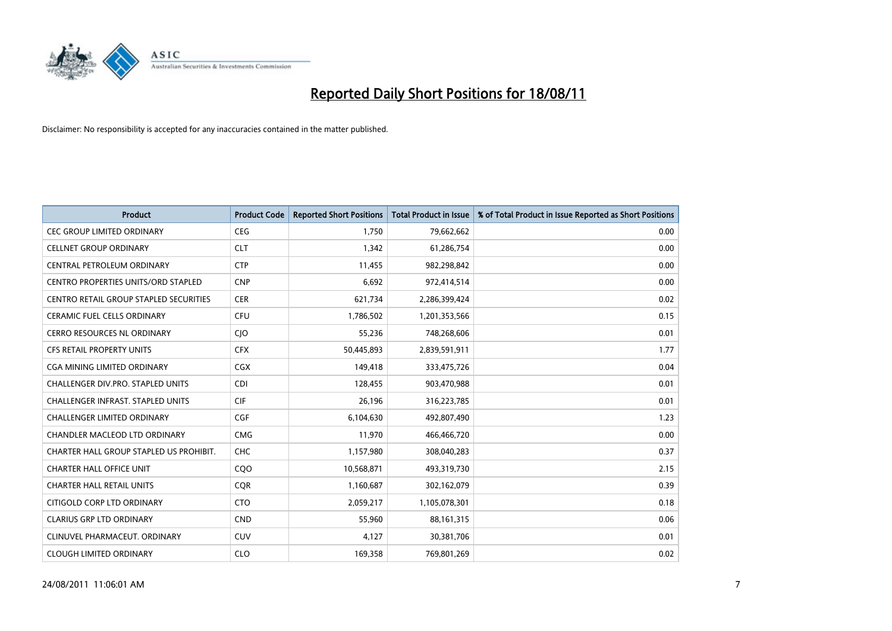

| <b>Product</b>                                | <b>Product Code</b> | <b>Reported Short Positions</b> | <b>Total Product in Issue</b> | % of Total Product in Issue Reported as Short Positions |
|-----------------------------------------------|---------------------|---------------------------------|-------------------------------|---------------------------------------------------------|
| <b>CEC GROUP LIMITED ORDINARY</b>             | <b>CEG</b>          | 1,750                           | 79,662,662                    | 0.00                                                    |
| <b>CELLNET GROUP ORDINARY</b>                 | <b>CLT</b>          | 1,342                           | 61,286,754                    | 0.00                                                    |
| CENTRAL PETROLEUM ORDINARY                    | <b>CTP</b>          | 11,455                          | 982,298,842                   | 0.00                                                    |
| CENTRO PROPERTIES UNITS/ORD STAPLED           | <b>CNP</b>          | 6,692                           | 972,414,514                   | 0.00                                                    |
| <b>CENTRO RETAIL GROUP STAPLED SECURITIES</b> | <b>CER</b>          | 621,734                         | 2,286,399,424                 | 0.02                                                    |
| <b>CERAMIC FUEL CELLS ORDINARY</b>            | CFU                 | 1,786,502                       | 1,201,353,566                 | 0.15                                                    |
| <b>CERRO RESOURCES NL ORDINARY</b>            | <b>CIO</b>          | 55,236                          | 748,268,606                   | 0.01                                                    |
| CFS RETAIL PROPERTY UNITS                     | <b>CFX</b>          | 50,445,893                      | 2,839,591,911                 | 1.77                                                    |
| CGA MINING LIMITED ORDINARY                   | <b>CGX</b>          | 149,418                         | 333,475,726                   | 0.04                                                    |
| <b>CHALLENGER DIV.PRO. STAPLED UNITS</b>      | <b>CDI</b>          | 128,455                         | 903,470,988                   | 0.01                                                    |
| CHALLENGER INFRAST. STAPLED UNITS             | <b>CIF</b>          | 26,196                          | 316,223,785                   | 0.01                                                    |
| <b>CHALLENGER LIMITED ORDINARY</b>            | <b>CGF</b>          | 6,104,630                       | 492,807,490                   | 1.23                                                    |
| CHANDLER MACLEOD LTD ORDINARY                 | <b>CMG</b>          | 11,970                          | 466,466,720                   | 0.00                                                    |
| CHARTER HALL GROUP STAPLED US PROHIBIT.       | <b>CHC</b>          | 1,157,980                       | 308,040,283                   | 0.37                                                    |
| <b>CHARTER HALL OFFICE UNIT</b>               | CQO                 | 10,568,871                      | 493,319,730                   | 2.15                                                    |
| <b>CHARTER HALL RETAIL UNITS</b>              | <b>COR</b>          | 1,160,687                       | 302,162,079                   | 0.39                                                    |
| CITIGOLD CORP LTD ORDINARY                    | <b>CTO</b>          | 2,059,217                       | 1,105,078,301                 | 0.18                                                    |
| <b>CLARIUS GRP LTD ORDINARY</b>               | <b>CND</b>          | 55,960                          | 88,161,315                    | 0.06                                                    |
| CLINUVEL PHARMACEUT, ORDINARY                 | <b>CUV</b>          | 4,127                           | 30,381,706                    | 0.01                                                    |
| <b>CLOUGH LIMITED ORDINARY</b>                | <b>CLO</b>          | 169,358                         | 769,801,269                   | 0.02                                                    |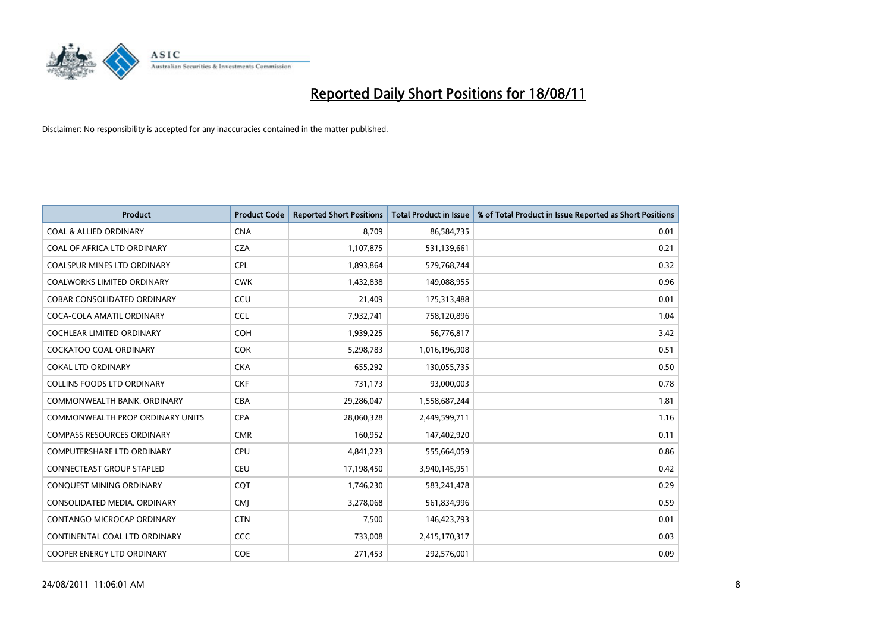

| <b>Product</b>                          | <b>Product Code</b> | <b>Reported Short Positions</b> | <b>Total Product in Issue</b> | % of Total Product in Issue Reported as Short Positions |
|-----------------------------------------|---------------------|---------------------------------|-------------------------------|---------------------------------------------------------|
| <b>COAL &amp; ALLIED ORDINARY</b>       | <b>CNA</b>          | 8.709                           | 86,584,735                    | 0.01                                                    |
| COAL OF AFRICA LTD ORDINARY             | <b>CZA</b>          | 1,107,875                       | 531,139,661                   | 0.21                                                    |
| <b>COALSPUR MINES LTD ORDINARY</b>      | <b>CPL</b>          | 1,893,864                       | 579,768,744                   | 0.32                                                    |
| COALWORKS LIMITED ORDINARY              | <b>CWK</b>          | 1,432,838                       | 149,088,955                   | 0.96                                                    |
| <b>COBAR CONSOLIDATED ORDINARY</b>      | CCU                 | 21,409                          | 175,313,488                   | 0.01                                                    |
| COCA-COLA AMATIL ORDINARY               | <b>CCL</b>          | 7,932,741                       | 758,120,896                   | 1.04                                                    |
| <b>COCHLEAR LIMITED ORDINARY</b>        | <b>COH</b>          | 1,939,225                       | 56,776,817                    | 3.42                                                    |
| <b>COCKATOO COAL ORDINARY</b>           | <b>COK</b>          | 5,298,783                       | 1,016,196,908                 | 0.51                                                    |
| <b>COKAL LTD ORDINARY</b>               | <b>CKA</b>          | 655,292                         | 130,055,735                   | 0.50                                                    |
| <b>COLLINS FOODS LTD ORDINARY</b>       | <b>CKF</b>          | 731,173                         | 93,000,003                    | 0.78                                                    |
| COMMONWEALTH BANK, ORDINARY             | <b>CBA</b>          | 29,286,047                      | 1,558,687,244                 | 1.81                                                    |
| <b>COMMONWEALTH PROP ORDINARY UNITS</b> | <b>CPA</b>          | 28,060,328                      | 2,449,599,711                 | 1.16                                                    |
| <b>COMPASS RESOURCES ORDINARY</b>       | <b>CMR</b>          | 160,952                         | 147,402,920                   | 0.11                                                    |
| <b>COMPUTERSHARE LTD ORDINARY</b>       | <b>CPU</b>          | 4,841,223                       | 555,664,059                   | 0.86                                                    |
| <b>CONNECTEAST GROUP STAPLED</b>        | <b>CEU</b>          | 17,198,450                      | 3,940,145,951                 | 0.42                                                    |
| CONQUEST MINING ORDINARY                | CQT                 | 1,746,230                       | 583,241,478                   | 0.29                                                    |
| CONSOLIDATED MEDIA, ORDINARY            | <b>CMI</b>          | 3,278,068                       | 561,834,996                   | 0.59                                                    |
| CONTANGO MICROCAP ORDINARY              | <b>CTN</b>          | 7,500                           | 146,423,793                   | 0.01                                                    |
| CONTINENTAL COAL LTD ORDINARY           | CCC                 | 733,008                         | 2,415,170,317                 | 0.03                                                    |
| COOPER ENERGY LTD ORDINARY              | <b>COE</b>          | 271,453                         | 292,576,001                   | 0.09                                                    |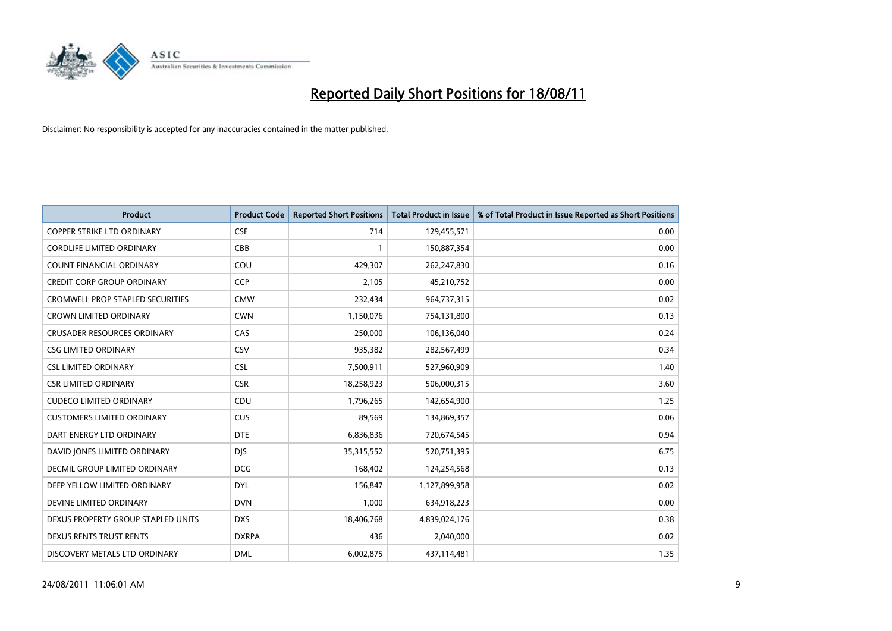

| <b>Product</b>                          | <b>Product Code</b> | <b>Reported Short Positions</b> | Total Product in Issue | % of Total Product in Issue Reported as Short Positions |
|-----------------------------------------|---------------------|---------------------------------|------------------------|---------------------------------------------------------|
| <b>COPPER STRIKE LTD ORDINARY</b>       | <b>CSE</b>          | 714                             | 129,455,571            | 0.00                                                    |
| <b>CORDLIFE LIMITED ORDINARY</b>        | CBB                 |                                 | 150,887,354            | 0.00                                                    |
| <b>COUNT FINANCIAL ORDINARY</b>         | COU                 | 429,307                         | 262,247,830            | 0.16                                                    |
| <b>CREDIT CORP GROUP ORDINARY</b>       | <b>CCP</b>          | 2,105                           | 45,210,752             | 0.00                                                    |
| <b>CROMWELL PROP STAPLED SECURITIES</b> | <b>CMW</b>          | 232,434                         | 964,737,315            | 0.02                                                    |
| <b>CROWN LIMITED ORDINARY</b>           | <b>CWN</b>          | 1,150,076                       | 754,131,800            | 0.13                                                    |
| <b>CRUSADER RESOURCES ORDINARY</b>      | CAS                 | 250,000                         | 106,136,040            | 0.24                                                    |
| <b>CSG LIMITED ORDINARY</b>             | CSV                 | 935,382                         | 282,567,499            | 0.34                                                    |
| <b>CSL LIMITED ORDINARY</b>             | <b>CSL</b>          | 7,500,911                       | 527,960,909            | 1.40                                                    |
| <b>CSR LIMITED ORDINARY</b>             | <b>CSR</b>          | 18,258,923                      | 506,000,315            | 3.60                                                    |
| <b>CUDECO LIMITED ORDINARY</b>          | CDU                 | 1,796,265                       | 142,654,900            | 1.25                                                    |
| <b>CUSTOMERS LIMITED ORDINARY</b>       | <b>CUS</b>          | 89,569                          | 134,869,357            | 0.06                                                    |
| DART ENERGY LTD ORDINARY                | <b>DTE</b>          | 6,836,836                       | 720,674,545            | 0.94                                                    |
| DAVID JONES LIMITED ORDINARY            | <b>DJS</b>          | 35, 315, 552                    | 520,751,395            | 6.75                                                    |
| DECMIL GROUP LIMITED ORDINARY           | <b>DCG</b>          | 168,402                         | 124,254,568            | 0.13                                                    |
| DEEP YELLOW LIMITED ORDINARY            | <b>DYL</b>          | 156,847                         | 1,127,899,958          | 0.02                                                    |
| DEVINE LIMITED ORDINARY                 | <b>DVN</b>          | 1,000                           | 634,918,223            | 0.00                                                    |
| DEXUS PROPERTY GROUP STAPLED UNITS      | <b>DXS</b>          | 18,406,768                      | 4,839,024,176          | 0.38                                                    |
| DEXUS RENTS TRUST RENTS                 | <b>DXRPA</b>        | 436                             | 2,040,000              | 0.02                                                    |
| DISCOVERY METALS LTD ORDINARY           | <b>DML</b>          | 6,002,875                       | 437,114,481            | 1.35                                                    |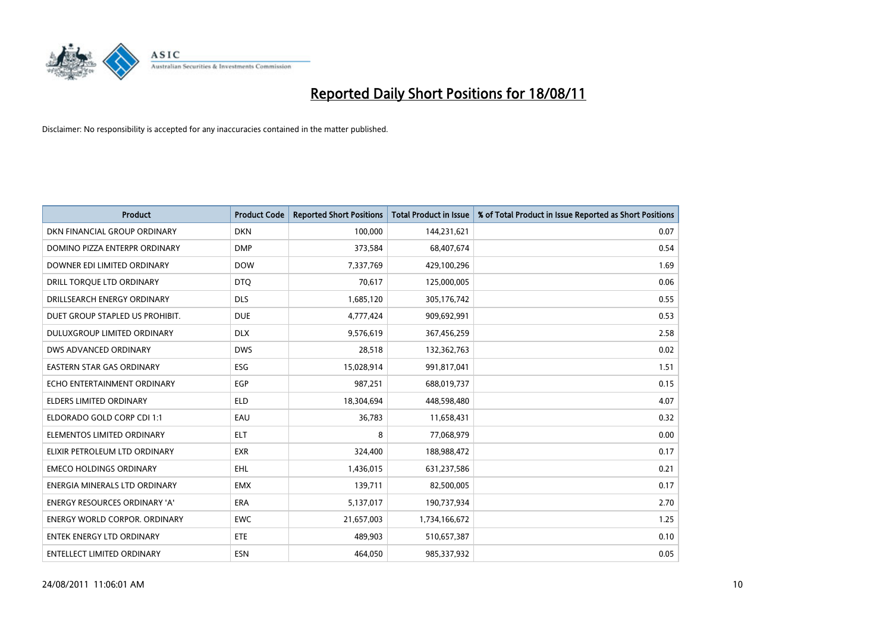

| <b>Product</b>                   | <b>Product Code</b> | <b>Reported Short Positions</b> | Total Product in Issue | % of Total Product in Issue Reported as Short Positions |
|----------------------------------|---------------------|---------------------------------|------------------------|---------------------------------------------------------|
| DKN FINANCIAL GROUP ORDINARY     | <b>DKN</b>          | 100,000                         | 144,231,621            | 0.07                                                    |
| DOMINO PIZZA ENTERPR ORDINARY    | <b>DMP</b>          | 373,584                         | 68,407,674             | 0.54                                                    |
| DOWNER EDI LIMITED ORDINARY      | <b>DOW</b>          | 7,337,769                       | 429,100,296            | 1.69                                                    |
| DRILL TORQUE LTD ORDINARY        | <b>DTQ</b>          | 70,617                          | 125,000,005            | 0.06                                                    |
| DRILLSEARCH ENERGY ORDINARY      | <b>DLS</b>          | 1,685,120                       | 305,176,742            | 0.55                                                    |
| DUET GROUP STAPLED US PROHIBIT.  | <b>DUE</b>          | 4,777,424                       | 909,692,991            | 0.53                                                    |
| DULUXGROUP LIMITED ORDINARY      | <b>DLX</b>          | 9,576,619                       | 367,456,259            | 2.58                                                    |
| DWS ADVANCED ORDINARY            | <b>DWS</b>          | 28,518                          | 132,362,763            | 0.02                                                    |
| <b>EASTERN STAR GAS ORDINARY</b> | ESG                 | 15,028,914                      | 991,817,041            | 1.51                                                    |
| ECHO ENTERTAINMENT ORDINARY      | <b>EGP</b>          | 987,251                         | 688,019,737            | 0.15                                                    |
| ELDERS LIMITED ORDINARY          | <b>ELD</b>          | 18,304,694                      | 448,598,480            | 4.07                                                    |
| ELDORADO GOLD CORP CDI 1:1       | EAU                 | 36,783                          | 11,658,431             | 0.32                                                    |
| ELEMENTOS LIMITED ORDINARY       | <b>ELT</b>          | 8                               | 77,068,979             | 0.00                                                    |
| ELIXIR PETROLEUM LTD ORDINARY    | <b>EXR</b>          | 324,400                         | 188,988,472            | 0.17                                                    |
| <b>EMECO HOLDINGS ORDINARY</b>   | <b>EHL</b>          | 1,436,015                       | 631,237,586            | 0.21                                                    |
| ENERGIA MINERALS LTD ORDINARY    | <b>EMX</b>          | 139,711                         | 82,500,005             | 0.17                                                    |
| ENERGY RESOURCES ORDINARY 'A'    | ERA                 | 5,137,017                       | 190,737,934            | 2.70                                                    |
| ENERGY WORLD CORPOR. ORDINARY    | <b>EWC</b>          | 21,657,003                      | 1,734,166,672          | 1.25                                                    |
| <b>ENTEK ENERGY LTD ORDINARY</b> | <b>ETE</b>          | 489,903                         | 510,657,387            | 0.10                                                    |
| ENTELLECT LIMITED ORDINARY       | ESN                 | 464,050                         | 985,337,932            | 0.05                                                    |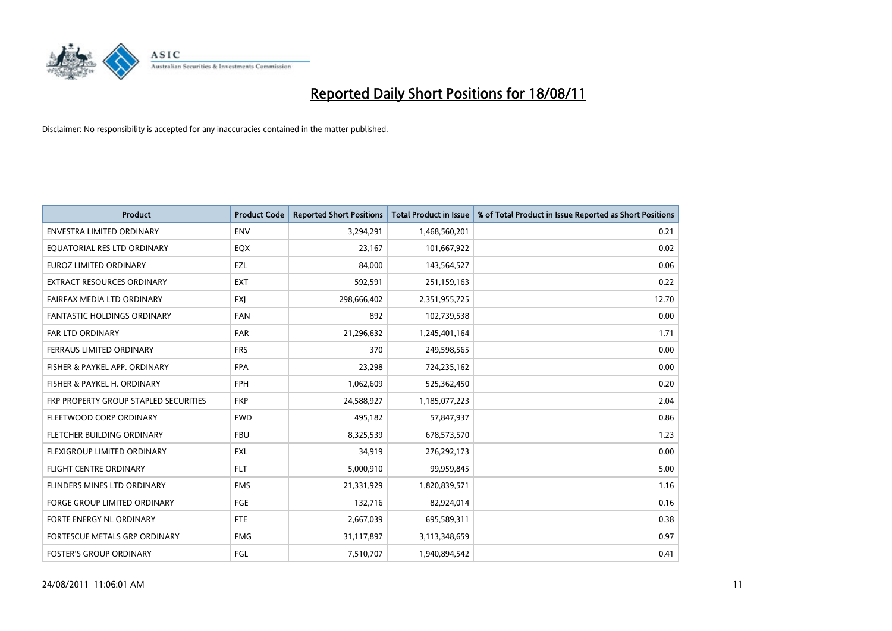

| <b>Product</b>                        | <b>Product Code</b> | <b>Reported Short Positions</b> | <b>Total Product in Issue</b> | % of Total Product in Issue Reported as Short Positions |
|---------------------------------------|---------------------|---------------------------------|-------------------------------|---------------------------------------------------------|
| <b>ENVESTRA LIMITED ORDINARY</b>      | <b>ENV</b>          | 3,294,291                       | 1,468,560,201                 | 0.21                                                    |
| EQUATORIAL RES LTD ORDINARY           | EQX                 | 23,167                          | 101,667,922                   | 0.02                                                    |
| <b>EUROZ LIMITED ORDINARY</b>         | EZL                 | 84,000                          | 143,564,527                   | 0.06                                                    |
| EXTRACT RESOURCES ORDINARY            | EXT                 | 592,591                         | 251,159,163                   | 0.22                                                    |
| FAIRFAX MEDIA LTD ORDINARY            | <b>FXI</b>          | 298,666,402                     | 2,351,955,725                 | 12.70                                                   |
| <b>FANTASTIC HOLDINGS ORDINARY</b>    | <b>FAN</b>          | 892                             | 102,739,538                   | 0.00                                                    |
| <b>FAR LTD ORDINARY</b>               | <b>FAR</b>          | 21,296,632                      | 1,245,401,164                 | 1.71                                                    |
| FERRAUS LIMITED ORDINARY              | <b>FRS</b>          | 370                             | 249,598,565                   | 0.00                                                    |
| FISHER & PAYKEL APP. ORDINARY         | <b>FPA</b>          | 23,298                          | 724,235,162                   | 0.00                                                    |
| FISHER & PAYKEL H. ORDINARY           | <b>FPH</b>          | 1,062,609                       | 525,362,450                   | 0.20                                                    |
| FKP PROPERTY GROUP STAPLED SECURITIES | <b>FKP</b>          | 24,588,927                      | 1,185,077,223                 | 2.04                                                    |
| FLEETWOOD CORP ORDINARY               | <b>FWD</b>          | 495,182                         | 57,847,937                    | 0.86                                                    |
| FLETCHER BUILDING ORDINARY            | <b>FBU</b>          | 8,325,539                       | 678,573,570                   | 1.23                                                    |
| FLEXIGROUP LIMITED ORDINARY           | <b>FXL</b>          | 34,919                          | 276,292,173                   | 0.00                                                    |
| FLIGHT CENTRE ORDINARY                | <b>FLT</b>          | 5,000,910                       | 99,959,845                    | 5.00                                                    |
| FLINDERS MINES LTD ORDINARY           | <b>FMS</b>          | 21,331,929                      | 1,820,839,571                 | 1.16                                                    |
| <b>FORGE GROUP LIMITED ORDINARY</b>   | FGE                 | 132,716                         | 82,924,014                    | 0.16                                                    |
| FORTE ENERGY NL ORDINARY              | <b>FTE</b>          | 2,667,039                       | 695,589,311                   | 0.38                                                    |
| FORTESCUE METALS GRP ORDINARY         | <b>FMG</b>          | 31,117,897                      | 3,113,348,659                 | 0.97                                                    |
| <b>FOSTER'S GROUP ORDINARY</b>        | FGL                 | 7,510,707                       | 1.940.894.542                 | 0.41                                                    |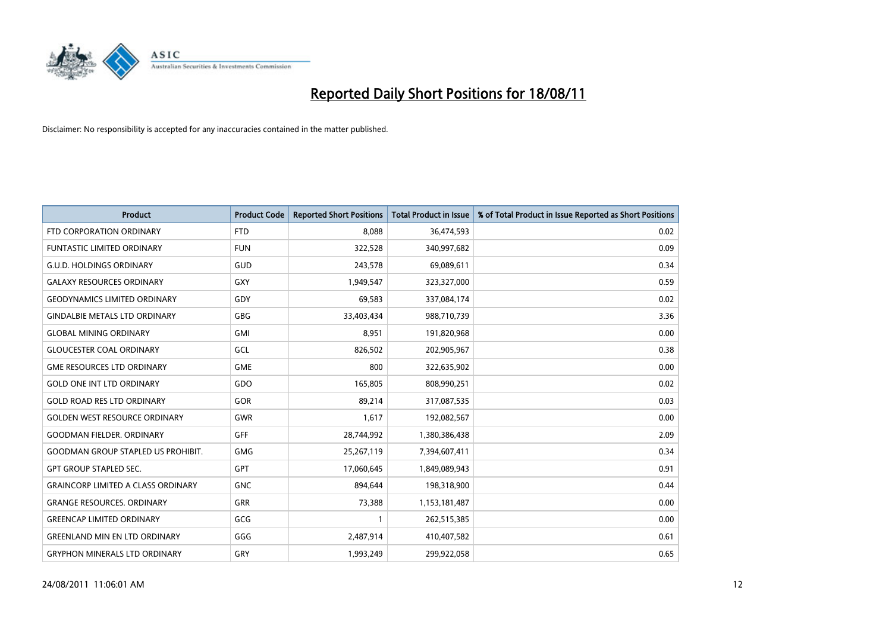

| <b>Product</b>                            | <b>Product Code</b> | <b>Reported Short Positions</b> | <b>Total Product in Issue</b> | % of Total Product in Issue Reported as Short Positions |
|-------------------------------------------|---------------------|---------------------------------|-------------------------------|---------------------------------------------------------|
| FTD CORPORATION ORDINARY                  | <b>FTD</b>          | 8,088                           | 36,474,593                    | 0.02                                                    |
| <b>FUNTASTIC LIMITED ORDINARY</b>         | <b>FUN</b>          | 322,528                         | 340,997,682                   | 0.09                                                    |
| <b>G.U.D. HOLDINGS ORDINARY</b>           | <b>GUD</b>          | 243,578                         | 69,089,611                    | 0.34                                                    |
| <b>GALAXY RESOURCES ORDINARY</b>          | GXY                 | 1,949,547                       | 323,327,000                   | 0.59                                                    |
| <b>GEODYNAMICS LIMITED ORDINARY</b>       | GDY                 | 69,583                          | 337,084,174                   | 0.02                                                    |
| <b>GINDALBIE METALS LTD ORDINARY</b>      | <b>GBG</b>          | 33,403,434                      | 988,710,739                   | 3.36                                                    |
| <b>GLOBAL MINING ORDINARY</b>             | <b>GMI</b>          | 8,951                           | 191,820,968                   | 0.00                                                    |
| <b>GLOUCESTER COAL ORDINARY</b>           | GCL                 | 826,502                         | 202,905,967                   | 0.38                                                    |
| <b>GME RESOURCES LTD ORDINARY</b>         | <b>GME</b>          | 800                             | 322,635,902                   | 0.00                                                    |
| <b>GOLD ONE INT LTD ORDINARY</b>          | GDO                 | 165,805                         | 808,990,251                   | 0.02                                                    |
| <b>GOLD ROAD RES LTD ORDINARY</b>         | GOR                 | 89,214                          | 317,087,535                   | 0.03                                                    |
| <b>GOLDEN WEST RESOURCE ORDINARY</b>      | <b>GWR</b>          | 1,617                           | 192,082,567                   | 0.00                                                    |
| <b>GOODMAN FIELDER, ORDINARY</b>          | <b>GFF</b>          | 28,744,992                      | 1,380,386,438                 | 2.09                                                    |
| <b>GOODMAN GROUP STAPLED US PROHIBIT.</b> | GMG                 | 25,267,119                      | 7,394,607,411                 | 0.34                                                    |
| <b>GPT GROUP STAPLED SEC.</b>             | <b>GPT</b>          | 17,060,645                      | 1,849,089,943                 | 0.91                                                    |
| <b>GRAINCORP LIMITED A CLASS ORDINARY</b> | <b>GNC</b>          | 894,644                         | 198,318,900                   | 0.44                                                    |
| <b>GRANGE RESOURCES. ORDINARY</b>         | GRR                 | 73,388                          | 1,153,181,487                 | 0.00                                                    |
| <b>GREENCAP LIMITED ORDINARY</b>          | GCG                 |                                 | 262,515,385                   | 0.00                                                    |
| <b>GREENLAND MIN EN LTD ORDINARY</b>      | GGG                 | 2,487,914                       | 410,407,582                   | 0.61                                                    |
| <b>GRYPHON MINERALS LTD ORDINARY</b>      | GRY                 | 1,993,249                       | 299,922,058                   | 0.65                                                    |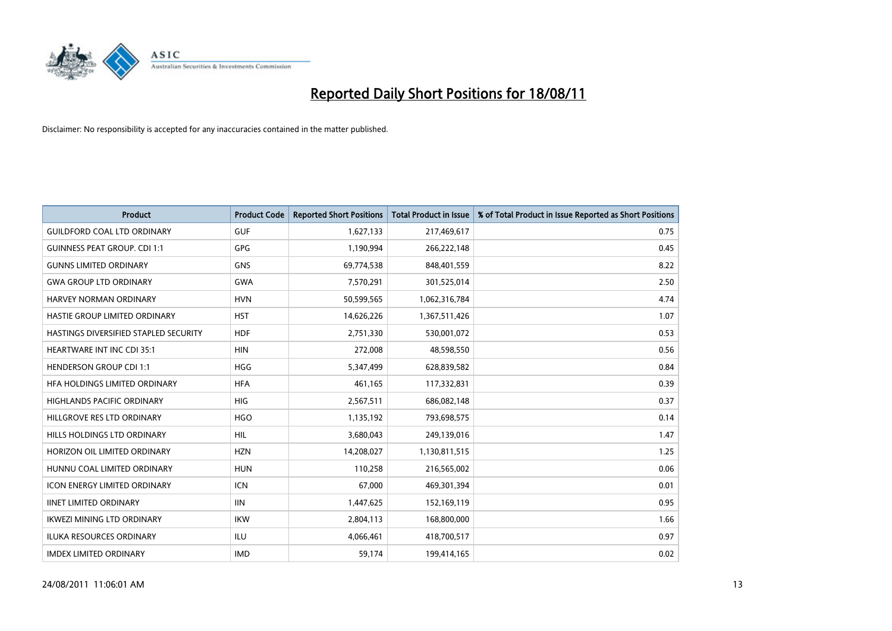

| <b>Product</b>                        | <b>Product Code</b> | <b>Reported Short Positions</b> | <b>Total Product in Issue</b> | % of Total Product in Issue Reported as Short Positions |
|---------------------------------------|---------------------|---------------------------------|-------------------------------|---------------------------------------------------------|
| <b>GUILDFORD COAL LTD ORDINARY</b>    | <b>GUF</b>          | 1,627,133                       | 217,469,617                   | 0.75                                                    |
| <b>GUINNESS PEAT GROUP. CDI 1:1</b>   | <b>GPG</b>          | 1,190,994                       | 266,222,148                   | 0.45                                                    |
| <b>GUNNS LIMITED ORDINARY</b>         | <b>GNS</b>          | 69,774,538                      | 848,401,559                   | 8.22                                                    |
| <b>GWA GROUP LTD ORDINARY</b>         | <b>GWA</b>          | 7,570,291                       | 301,525,014                   | 2.50                                                    |
| HARVEY NORMAN ORDINARY                | <b>HVN</b>          | 50,599,565                      | 1,062,316,784                 | 4.74                                                    |
| HASTIE GROUP LIMITED ORDINARY         | <b>HST</b>          | 14,626,226                      | 1,367,511,426                 | 1.07                                                    |
| HASTINGS DIVERSIFIED STAPLED SECURITY | <b>HDF</b>          | 2,751,330                       | 530,001,072                   | 0.53                                                    |
| HEARTWARE INT INC CDI 35:1            | <b>HIN</b>          | 272,008                         | 48,598,550                    | 0.56                                                    |
| <b>HENDERSON GROUP CDI 1:1</b>        | <b>HGG</b>          | 5,347,499                       | 628,839,582                   | 0.84                                                    |
| HFA HOLDINGS LIMITED ORDINARY         | <b>HFA</b>          | 461,165                         | 117,332,831                   | 0.39                                                    |
| HIGHLANDS PACIFIC ORDINARY            | <b>HIG</b>          | 2,567,511                       | 686,082,148                   | 0.37                                                    |
| HILLGROVE RES LTD ORDINARY            | <b>HGO</b>          | 1,135,192                       | 793,698,575                   | 0.14                                                    |
| HILLS HOLDINGS LTD ORDINARY           | <b>HIL</b>          | 3,680,043                       | 249,139,016                   | 1.47                                                    |
| HORIZON OIL LIMITED ORDINARY          | <b>HZN</b>          | 14,208,027                      | 1,130,811,515                 | 1.25                                                    |
| HUNNU COAL LIMITED ORDINARY           | <b>HUN</b>          | 110,258                         | 216,565,002                   | 0.06                                                    |
| <b>ICON ENERGY LIMITED ORDINARY</b>   | <b>ICN</b>          | 67,000                          | 469,301,394                   | 0.01                                                    |
| <b>IINET LIMITED ORDINARY</b>         | <b>IIN</b>          | 1,447,625                       | 152,169,119                   | 0.95                                                    |
| <b>IKWEZI MINING LTD ORDINARY</b>     | <b>IKW</b>          | 2,804,113                       | 168,800,000                   | 1.66                                                    |
| ILUKA RESOURCES ORDINARY              | ILU                 | 4,066,461                       | 418,700,517                   | 0.97                                                    |
| <b>IMDEX LIMITED ORDINARY</b>         | <b>IMD</b>          | 59,174                          | 199,414,165                   | 0.02                                                    |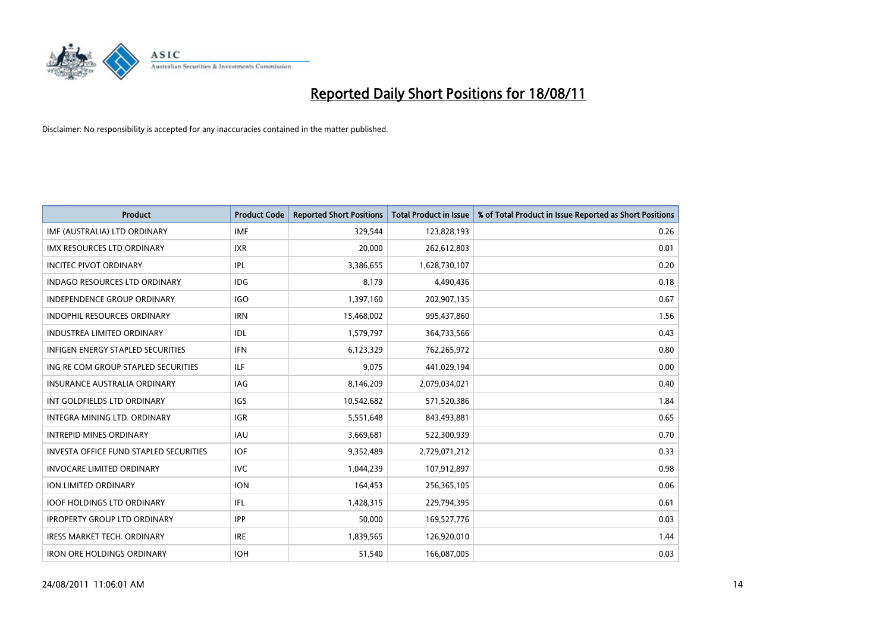

| <b>Product</b>                                | <b>Product Code</b> | <b>Reported Short Positions</b> | <b>Total Product in Issue</b> | % of Total Product in Issue Reported as Short Positions |
|-----------------------------------------------|---------------------|---------------------------------|-------------------------------|---------------------------------------------------------|
| IMF (AUSTRALIA) LTD ORDINARY                  | <b>IMF</b>          | 329,544                         | 123,828,193                   | 0.26                                                    |
| IMX RESOURCES LTD ORDINARY                    | <b>IXR</b>          | 20,000                          | 262,612,803                   | 0.01                                                    |
| <b>INCITEC PIVOT ORDINARY</b>                 | IPL                 | 3,386,655                       | 1,628,730,107                 | 0.20                                                    |
| INDAGO RESOURCES LTD ORDINARY                 | <b>IDG</b>          | 8,179                           | 4,490,436                     | 0.18                                                    |
| <b>INDEPENDENCE GROUP ORDINARY</b>            | <b>IGO</b>          | 1,397,160                       | 202,907,135                   | 0.67                                                    |
| <b>INDOPHIL RESOURCES ORDINARY</b>            | <b>IRN</b>          | 15,468,002                      | 995,437,860                   | 1.56                                                    |
| <b>INDUSTREA LIMITED ORDINARY</b>             | IDL.                | 1,579,797                       | 364,733,566                   | 0.43                                                    |
| INFIGEN ENERGY STAPLED SECURITIES             | <b>IFN</b>          | 6,123,329                       | 762,265,972                   | 0.80                                                    |
| ING RE COM GROUP STAPLED SECURITIES           | <b>ILF</b>          | 9,075                           | 441,029,194                   | 0.00                                                    |
| <b>INSURANCE AUSTRALIA ORDINARY</b>           | <b>IAG</b>          | 8,146,209                       | 2,079,034,021                 | 0.40                                                    |
| INT GOLDFIELDS LTD ORDINARY                   | <b>IGS</b>          | 10,542,682                      | 571,520,386                   | 1.84                                                    |
| INTEGRA MINING LTD, ORDINARY                  | <b>IGR</b>          | 5,551,648                       | 843,493,881                   | 0.65                                                    |
| <b>INTREPID MINES ORDINARY</b>                | <b>IAU</b>          | 3,669,681                       | 522,300,939                   | 0.70                                                    |
| <b>INVESTA OFFICE FUND STAPLED SECURITIES</b> | <b>IOF</b>          | 9,352,489                       | 2,729,071,212                 | 0.33                                                    |
| <b>INVOCARE LIMITED ORDINARY</b>              | <b>IVC</b>          | 1,044,239                       | 107,912,897                   | 0.98                                                    |
| ION LIMITED ORDINARY                          | <b>ION</b>          | 164,453                         | 256,365,105                   | 0.06                                                    |
| <b>IOOF HOLDINGS LTD ORDINARY</b>             | <b>IFL</b>          | 1,428,315                       | 229,794,395                   | 0.61                                                    |
| <b>IPROPERTY GROUP LTD ORDINARY</b>           | <b>IPP</b>          | 50,000                          | 169,527,776                   | 0.03                                                    |
| <b>IRESS MARKET TECH. ORDINARY</b>            | <b>IRE</b>          | 1,839,565                       | 126,920,010                   | 1.44                                                    |
| <b>IRON ORE HOLDINGS ORDINARY</b>             | <b>IOH</b>          | 51,540                          | 166,087,005                   | 0.03                                                    |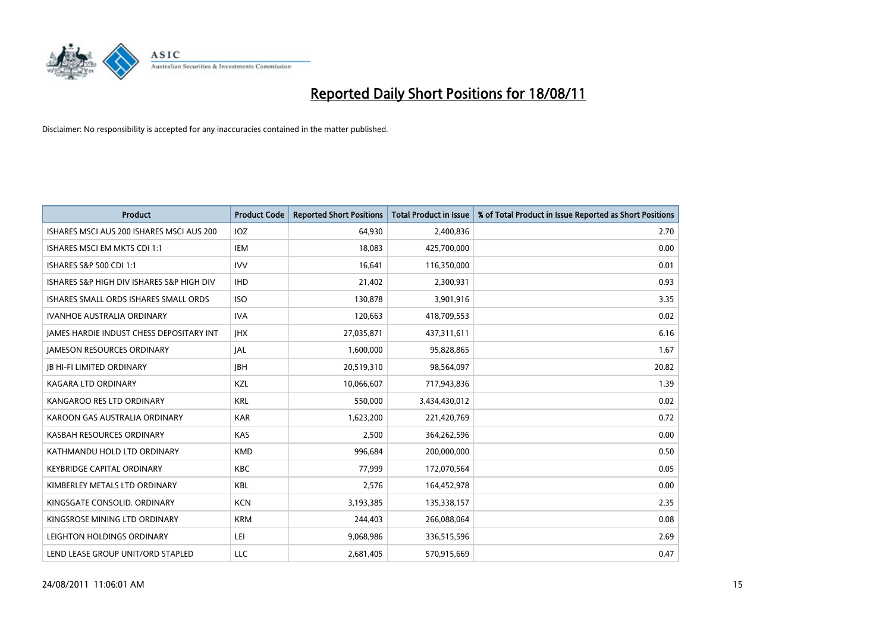

| <b>Product</b>                            | <b>Product Code</b> | <b>Reported Short Positions</b> | <b>Total Product in Issue</b> | % of Total Product in Issue Reported as Short Positions |
|-------------------------------------------|---------------------|---------------------------------|-------------------------------|---------------------------------------------------------|
| ISHARES MSCI AUS 200 ISHARES MSCI AUS 200 | IOZ                 | 64,930                          | 2,400,836                     | 2.70                                                    |
| ISHARES MSCI EM MKTS CDI 1:1              | IEM                 | 18,083                          | 425,700,000                   | 0.00                                                    |
| ISHARES S&P 500 CDI 1:1                   | <b>IVV</b>          | 16.641                          | 116,350,000                   | 0.01                                                    |
| ISHARES S&P HIGH DIV ISHARES S&P HIGH DIV | <b>IHD</b>          | 21,402                          | 2,300,931                     | 0.93                                                    |
| ISHARES SMALL ORDS ISHARES SMALL ORDS     | <b>ISO</b>          | 130,878                         | 3,901,916                     | 3.35                                                    |
| <b>IVANHOE AUSTRALIA ORDINARY</b>         | <b>IVA</b>          | 120,663                         | 418,709,553                   | 0.02                                                    |
| JAMES HARDIE INDUST CHESS DEPOSITARY INT  | <b>IHX</b>          | 27,035,871                      | 437,311,611                   | 6.16                                                    |
| <b>JAMESON RESOURCES ORDINARY</b>         | <b>JAL</b>          | 1,600,000                       | 95,828,865                    | 1.67                                                    |
| <b>JB HI-FI LIMITED ORDINARY</b>          | <b>IBH</b>          | 20,519,310                      | 98,564,097                    | 20.82                                                   |
| <b>KAGARA LTD ORDINARY</b>                | KZL                 | 10,066,607                      | 717,943,836                   | 1.39                                                    |
| KANGAROO RES LTD ORDINARY                 | <b>KRL</b>          | 550,000                         | 3,434,430,012                 | 0.02                                                    |
| KAROON GAS AUSTRALIA ORDINARY             | <b>KAR</b>          | 1,623,200                       | 221,420,769                   | 0.72                                                    |
| KASBAH RESOURCES ORDINARY                 | <b>KAS</b>          | 2,500                           | 364,262,596                   | 0.00                                                    |
| KATHMANDU HOLD LTD ORDINARY               | <b>KMD</b>          | 996,684                         | 200,000,000                   | 0.50                                                    |
| <b>KEYBRIDGE CAPITAL ORDINARY</b>         | <b>KBC</b>          | 77,999                          | 172,070,564                   | 0.05                                                    |
| KIMBERLEY METALS LTD ORDINARY             | <b>KBL</b>          | 2,576                           | 164,452,978                   | 0.00                                                    |
| KINGSGATE CONSOLID. ORDINARY              | <b>KCN</b>          | 3,193,385                       | 135,338,157                   | 2.35                                                    |
| KINGSROSE MINING LTD ORDINARY             | <b>KRM</b>          | 244,403                         | 266,088,064                   | 0.08                                                    |
| LEIGHTON HOLDINGS ORDINARY                | LEI                 | 9,068,986                       | 336,515,596                   | 2.69                                                    |
| LEND LEASE GROUP UNIT/ORD STAPLED         | LLC                 | 2,681,405                       | 570,915,669                   | 0.47                                                    |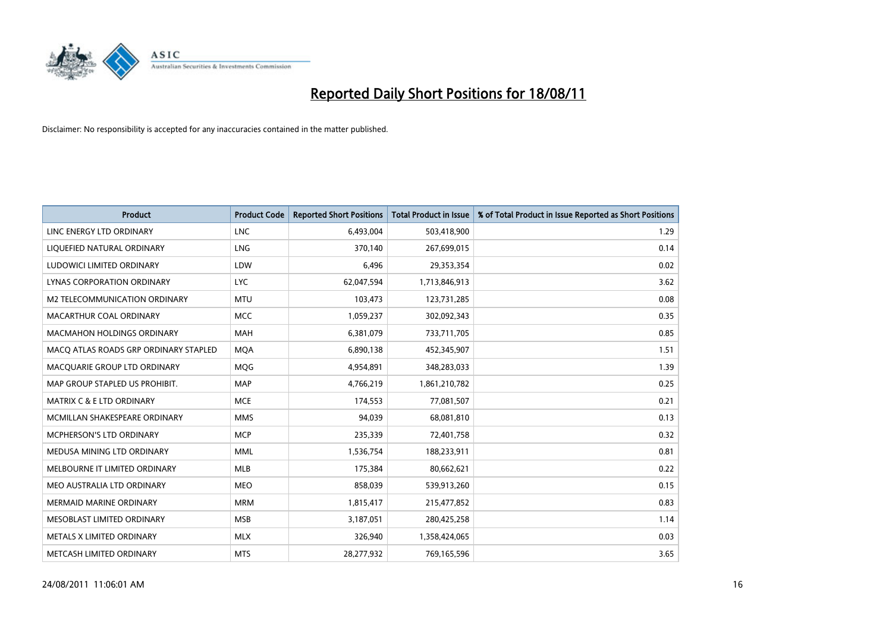

| <b>Product</b>                        | <b>Product Code</b> | <b>Reported Short Positions</b> | Total Product in Issue | % of Total Product in Issue Reported as Short Positions |
|---------------------------------------|---------------------|---------------------------------|------------------------|---------------------------------------------------------|
| LINC ENERGY LTD ORDINARY              | <b>LNC</b>          | 6,493,004                       | 503,418,900            | 1.29                                                    |
| LIQUEFIED NATURAL ORDINARY            | LNG                 | 370,140                         | 267,699,015            | 0.14                                                    |
| LUDOWICI LIMITED ORDINARY             | LDW                 | 6,496                           | 29,353,354             | 0.02                                                    |
| LYNAS CORPORATION ORDINARY            | <b>LYC</b>          | 62,047,594                      | 1,713,846,913          | 3.62                                                    |
| M2 TELECOMMUNICATION ORDINARY         | <b>MTU</b>          | 103,473                         | 123,731,285            | 0.08                                                    |
| MACARTHUR COAL ORDINARY               | <b>MCC</b>          | 1,059,237                       | 302,092,343            | 0.35                                                    |
| <b>MACMAHON HOLDINGS ORDINARY</b>     | <b>MAH</b>          | 6,381,079                       | 733,711,705            | 0.85                                                    |
| MACO ATLAS ROADS GRP ORDINARY STAPLED | <b>MOA</b>          | 6,890,138                       | 452,345,907            | 1.51                                                    |
| MACQUARIE GROUP LTD ORDINARY          | <b>MOG</b>          | 4,954,891                       | 348,283,033            | 1.39                                                    |
| MAP GROUP STAPLED US PROHIBIT.        | <b>MAP</b>          | 4,766,219                       | 1,861,210,782          | 0.25                                                    |
| <b>MATRIX C &amp; E LTD ORDINARY</b>  | <b>MCE</b>          | 174,553                         | 77,081,507             | 0.21                                                    |
| MCMILLAN SHAKESPEARE ORDINARY         | <b>MMS</b>          | 94,039                          | 68,081,810             | 0.13                                                    |
| MCPHERSON'S LTD ORDINARY              | <b>MCP</b>          | 235,339                         | 72,401,758             | 0.32                                                    |
| MEDUSA MINING LTD ORDINARY            | <b>MML</b>          | 1,536,754                       | 188,233,911            | 0.81                                                    |
| MELBOURNE IT LIMITED ORDINARY         | <b>MLB</b>          | 175,384                         | 80,662,621             | 0.22                                                    |
| MEO AUSTRALIA LTD ORDINARY            | <b>MEO</b>          | 858,039                         | 539,913,260            | 0.15                                                    |
| MERMAID MARINE ORDINARY               | <b>MRM</b>          | 1,815,417                       | 215,477,852            | 0.83                                                    |
| MESOBLAST LIMITED ORDINARY            | <b>MSB</b>          | 3,187,051                       | 280,425,258            | 1.14                                                    |
| METALS X LIMITED ORDINARY             | <b>MLX</b>          | 326,940                         | 1,358,424,065          | 0.03                                                    |
| METCASH LIMITED ORDINARY              | <b>MTS</b>          | 28,277,932                      | 769,165,596            | 3.65                                                    |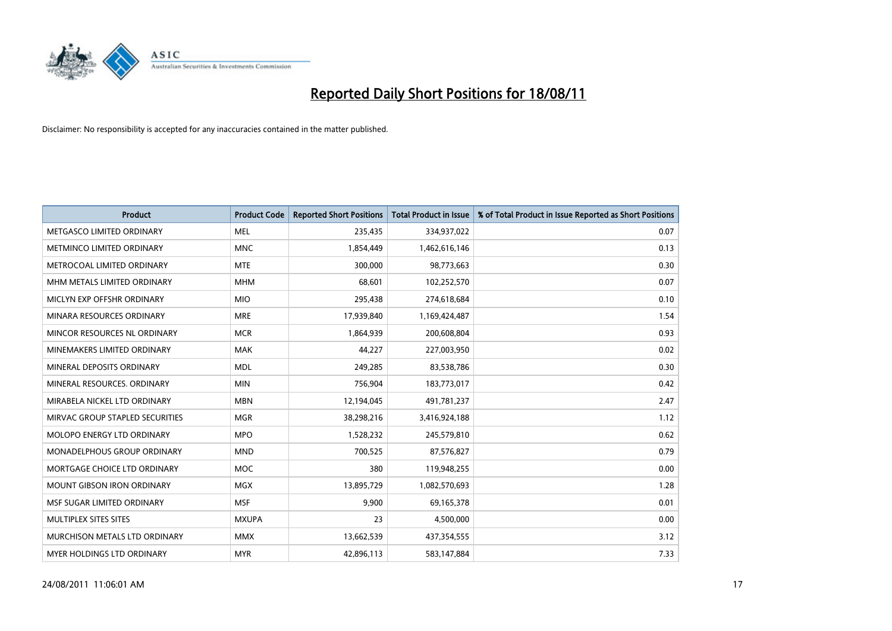

| <b>Product</b>                    | <b>Product Code</b> | <b>Reported Short Positions</b> | Total Product in Issue | % of Total Product in Issue Reported as Short Positions |
|-----------------------------------|---------------------|---------------------------------|------------------------|---------------------------------------------------------|
| METGASCO LIMITED ORDINARY         | <b>MEL</b>          | 235,435                         | 334,937,022            | 0.07                                                    |
| METMINCO LIMITED ORDINARY         | <b>MNC</b>          | 1,854,449                       | 1,462,616,146          | 0.13                                                    |
| METROCOAL LIMITED ORDINARY        | <b>MTE</b>          | 300,000                         | 98,773,663             | 0.30                                                    |
| MHM METALS LIMITED ORDINARY       | <b>MHM</b>          | 68,601                          | 102,252,570            | 0.07                                                    |
| MICLYN EXP OFFSHR ORDINARY        | <b>MIO</b>          | 295,438                         | 274,618,684            | 0.10                                                    |
| MINARA RESOURCES ORDINARY         | <b>MRE</b>          | 17,939,840                      | 1,169,424,487          | 1.54                                                    |
| MINCOR RESOURCES NL ORDINARY      | <b>MCR</b>          | 1,864,939                       | 200,608,804            | 0.93                                                    |
| MINEMAKERS LIMITED ORDINARY       | <b>MAK</b>          | 44,227                          | 227,003,950            | 0.02                                                    |
| MINERAL DEPOSITS ORDINARY         | <b>MDL</b>          | 249,285                         | 83,538,786             | 0.30                                                    |
| MINERAL RESOURCES, ORDINARY       | <b>MIN</b>          | 756,904                         | 183,773,017            | 0.42                                                    |
| MIRABELA NICKEL LTD ORDINARY      | <b>MBN</b>          | 12,194,045                      | 491,781,237            | 2.47                                                    |
| MIRVAC GROUP STAPLED SECURITIES   | <b>MGR</b>          | 38,298,216                      | 3,416,924,188          | 1.12                                                    |
| <b>MOLOPO ENERGY LTD ORDINARY</b> | <b>MPO</b>          | 1,528,232                       | 245,579,810            | 0.62                                                    |
| MONADELPHOUS GROUP ORDINARY       | <b>MND</b>          | 700,525                         | 87,576,827             | 0.79                                                    |
| MORTGAGE CHOICE LTD ORDINARY      | <b>MOC</b>          | 380                             | 119,948,255            | 0.00                                                    |
| <b>MOUNT GIBSON IRON ORDINARY</b> | MGX                 | 13,895,729                      | 1,082,570,693          | 1.28                                                    |
| MSF SUGAR LIMITED ORDINARY        | <b>MSF</b>          | 9,900                           | 69,165,378             | 0.01                                                    |
| MULTIPLEX SITES SITES             | <b>MXUPA</b>        | 23                              | 4,500,000              | 0.00                                                    |
| MURCHISON METALS LTD ORDINARY     | <b>MMX</b>          | 13,662,539                      | 437,354,555            | 3.12                                                    |
| <b>MYER HOLDINGS LTD ORDINARY</b> | <b>MYR</b>          | 42,896,113                      | 583,147,884            | 7.33                                                    |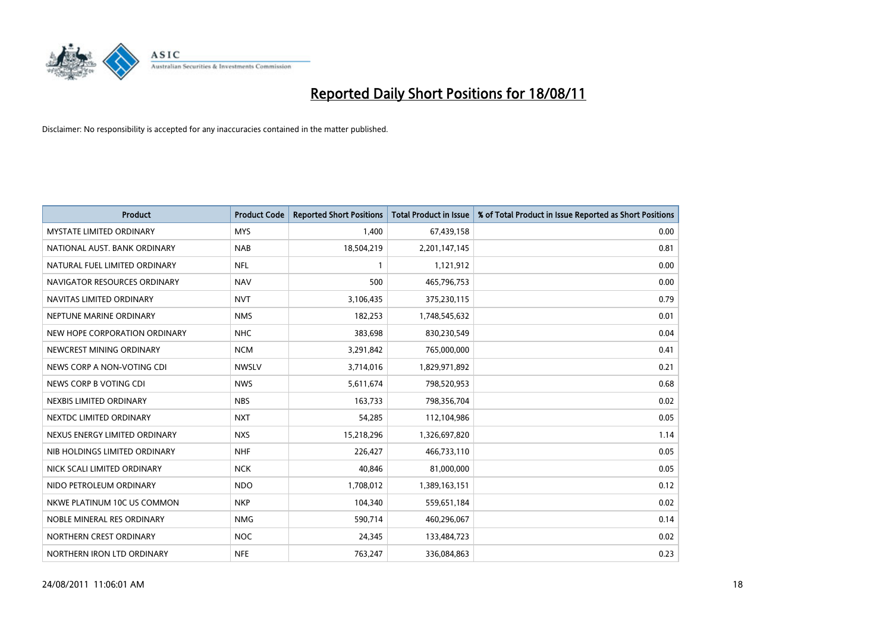

| <b>Product</b>                  | <b>Product Code</b> | <b>Reported Short Positions</b> | <b>Total Product in Issue</b> | % of Total Product in Issue Reported as Short Positions |
|---------------------------------|---------------------|---------------------------------|-------------------------------|---------------------------------------------------------|
| <b>MYSTATE LIMITED ORDINARY</b> | <b>MYS</b>          | 1,400                           | 67,439,158                    | 0.00                                                    |
| NATIONAL AUST. BANK ORDINARY    | <b>NAB</b>          | 18,504,219                      | 2,201,147,145                 | 0.81                                                    |
| NATURAL FUEL LIMITED ORDINARY   | <b>NFL</b>          |                                 | 1,121,912                     | 0.00                                                    |
| NAVIGATOR RESOURCES ORDINARY    | <b>NAV</b>          | 500                             | 465,796,753                   | 0.00                                                    |
| NAVITAS LIMITED ORDINARY        | <b>NVT</b>          | 3,106,435                       | 375,230,115                   | 0.79                                                    |
| NEPTUNE MARINE ORDINARY         | <b>NMS</b>          | 182,253                         | 1,748,545,632                 | 0.01                                                    |
| NEW HOPE CORPORATION ORDINARY   | <b>NHC</b>          | 383,698                         | 830,230,549                   | 0.04                                                    |
| NEWCREST MINING ORDINARY        | <b>NCM</b>          | 3,291,842                       | 765,000,000                   | 0.41                                                    |
| NEWS CORP A NON-VOTING CDI      | <b>NWSLV</b>        | 3,714,016                       | 1,829,971,892                 | 0.21                                                    |
| NEWS CORP B VOTING CDI          | <b>NWS</b>          | 5,611,674                       | 798,520,953                   | 0.68                                                    |
| NEXBIS LIMITED ORDINARY         | <b>NBS</b>          | 163,733                         | 798,356,704                   | 0.02                                                    |
| NEXTDC LIMITED ORDINARY         | <b>NXT</b>          | 54,285                          | 112,104,986                   | 0.05                                                    |
| NEXUS ENERGY LIMITED ORDINARY   | <b>NXS</b>          | 15,218,296                      | 1,326,697,820                 | 1.14                                                    |
| NIB HOLDINGS LIMITED ORDINARY   | <b>NHF</b>          | 226,427                         | 466,733,110                   | 0.05                                                    |
| NICK SCALI LIMITED ORDINARY     | <b>NCK</b>          | 40,846                          | 81,000,000                    | 0.05                                                    |
| NIDO PETROLEUM ORDINARY         | <b>NDO</b>          | 1,708,012                       | 1,389,163,151                 | 0.12                                                    |
| NKWE PLATINUM 10C US COMMON     | <b>NKP</b>          | 104,340                         | 559,651,184                   | 0.02                                                    |
| NOBLE MINERAL RES ORDINARY      | <b>NMG</b>          | 590,714                         | 460,296,067                   | 0.14                                                    |
| NORTHERN CREST ORDINARY         | <b>NOC</b>          | 24,345                          | 133,484,723                   | 0.02                                                    |
| NORTHERN IRON LTD ORDINARY      | <b>NFE</b>          | 763,247                         | 336,084,863                   | 0.23                                                    |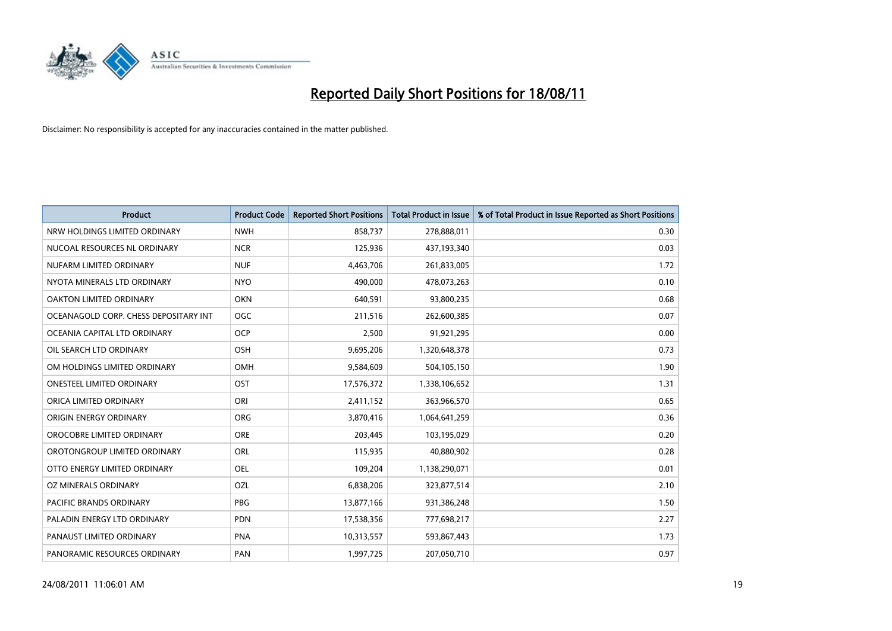

| <b>Product</b>                        | <b>Product Code</b> | <b>Reported Short Positions</b> | <b>Total Product in Issue</b> | % of Total Product in Issue Reported as Short Positions |
|---------------------------------------|---------------------|---------------------------------|-------------------------------|---------------------------------------------------------|
| NRW HOLDINGS LIMITED ORDINARY         | <b>NWH</b>          | 858,737                         | 278,888,011                   | 0.30                                                    |
| NUCOAL RESOURCES NL ORDINARY          | <b>NCR</b>          | 125,936                         | 437,193,340                   | 0.03                                                    |
| NUFARM LIMITED ORDINARY               | <b>NUF</b>          | 4,463,706                       | 261,833,005                   | 1.72                                                    |
| NYOTA MINERALS LTD ORDINARY           | <b>NYO</b>          | 490,000                         | 478,073,263                   | 0.10                                                    |
| OAKTON LIMITED ORDINARY               | <b>OKN</b>          | 640,591                         | 93,800,235                    | 0.68                                                    |
| OCEANAGOLD CORP. CHESS DEPOSITARY INT | <b>OGC</b>          | 211,516                         | 262,600,385                   | 0.07                                                    |
| OCEANIA CAPITAL LTD ORDINARY          | <b>OCP</b>          | 2,500                           | 91,921,295                    | 0.00                                                    |
| OIL SEARCH LTD ORDINARY               | OSH                 | 9,695,206                       | 1,320,648,378                 | 0.73                                                    |
| OM HOLDINGS LIMITED ORDINARY          | <b>OMH</b>          | 9,584,609                       | 504,105,150                   | 1.90                                                    |
| <b>ONESTEEL LIMITED ORDINARY</b>      | OST                 | 17,576,372                      | 1,338,106,652                 | 1.31                                                    |
| ORICA LIMITED ORDINARY                | ORI                 | 2,411,152                       | 363,966,570                   | 0.65                                                    |
| ORIGIN ENERGY ORDINARY                | <b>ORG</b>          | 3,870,416                       | 1,064,641,259                 | 0.36                                                    |
| OROCOBRE LIMITED ORDINARY             | <b>ORE</b>          | 203,445                         | 103,195,029                   | 0.20                                                    |
| OROTONGROUP LIMITED ORDINARY          | ORL                 | 115,935                         | 40,880,902                    | 0.28                                                    |
| OTTO ENERGY LIMITED ORDINARY          | <b>OEL</b>          | 109,204                         | 1,138,290,071                 | 0.01                                                    |
| OZ MINERALS ORDINARY                  | OZL                 | 6,838,206                       | 323,877,514                   | 2.10                                                    |
| PACIFIC BRANDS ORDINARY               | PBG                 | 13,877,166                      | 931,386,248                   | 1.50                                                    |
| PALADIN ENERGY LTD ORDINARY           | <b>PDN</b>          | 17,538,356                      | 777,698,217                   | 2.27                                                    |
| PANAUST LIMITED ORDINARY              | <b>PNA</b>          | 10,313,557                      | 593,867,443                   | 1.73                                                    |
| PANORAMIC RESOURCES ORDINARY          | PAN                 | 1,997,725                       | 207,050,710                   | 0.97                                                    |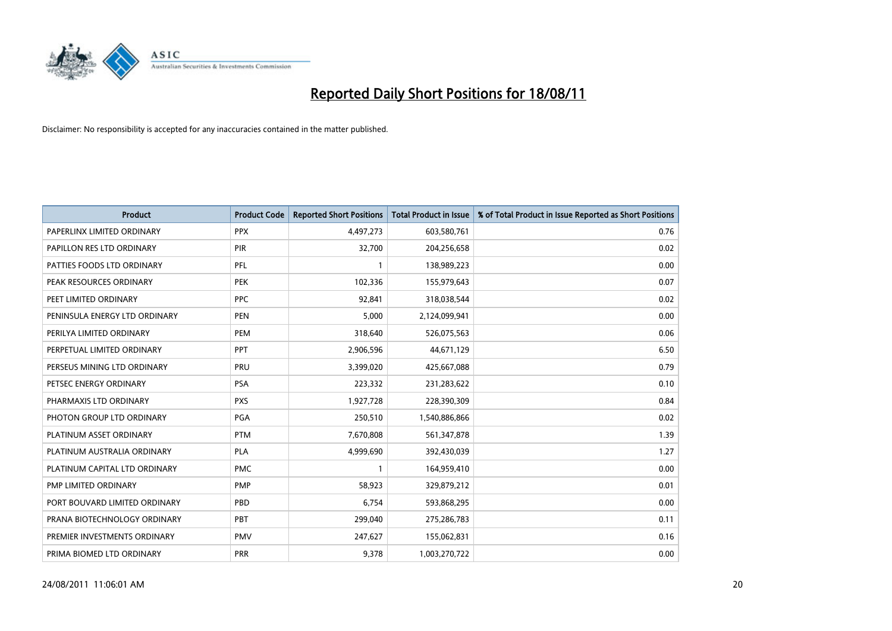

| <b>Product</b>                | <b>Product Code</b> | <b>Reported Short Positions</b> | <b>Total Product in Issue</b> | % of Total Product in Issue Reported as Short Positions |
|-------------------------------|---------------------|---------------------------------|-------------------------------|---------------------------------------------------------|
| PAPERLINX LIMITED ORDINARY    | <b>PPX</b>          | 4,497,273                       | 603,580,761                   | 0.76                                                    |
| PAPILLON RES LTD ORDINARY     | <b>PIR</b>          | 32,700                          | 204,256,658                   | 0.02                                                    |
| PATTIES FOODS LTD ORDINARY    | PFL                 |                                 | 138,989,223                   | 0.00                                                    |
| PEAK RESOURCES ORDINARY       | <b>PEK</b>          | 102,336                         | 155,979,643                   | 0.07                                                    |
| PEET LIMITED ORDINARY         | <b>PPC</b>          | 92,841                          | 318,038,544                   | 0.02                                                    |
| PENINSULA ENERGY LTD ORDINARY | <b>PEN</b>          | 5,000                           | 2,124,099,941                 | 0.00                                                    |
| PERILYA LIMITED ORDINARY      | PEM                 | 318,640                         | 526,075,563                   | 0.06                                                    |
| PERPETUAL LIMITED ORDINARY    | PPT                 | 2,906,596                       | 44,671,129                    | 6.50                                                    |
| PERSEUS MINING LTD ORDINARY   | PRU                 | 3,399,020                       | 425,667,088                   | 0.79                                                    |
| PETSEC ENERGY ORDINARY        | <b>PSA</b>          | 223,332                         | 231,283,622                   | 0.10                                                    |
| PHARMAXIS LTD ORDINARY        | <b>PXS</b>          | 1,927,728                       | 228,390,309                   | 0.84                                                    |
| PHOTON GROUP LTD ORDINARY     | PGA                 | 250,510                         | 1,540,886,866                 | 0.02                                                    |
| PLATINUM ASSET ORDINARY       | <b>PTM</b>          | 7,670,808                       | 561,347,878                   | 1.39                                                    |
| PLATINUM AUSTRALIA ORDINARY   | PLA                 | 4,999,690                       | 392,430,039                   | 1.27                                                    |
| PLATINUM CAPITAL LTD ORDINARY | <b>PMC</b>          |                                 | 164,959,410                   | 0.00                                                    |
| <b>PMP LIMITED ORDINARY</b>   | PMP                 | 58,923                          | 329,879,212                   | 0.01                                                    |
| PORT BOUVARD LIMITED ORDINARY | PBD                 | 6,754                           | 593,868,295                   | 0.00                                                    |
| PRANA BIOTECHNOLOGY ORDINARY  | PBT                 | 299,040                         | 275,286,783                   | 0.11                                                    |
| PREMIER INVESTMENTS ORDINARY  | <b>PMV</b>          | 247,627                         | 155,062,831                   | 0.16                                                    |
| PRIMA BIOMED LTD ORDINARY     | <b>PRR</b>          | 9,378                           | 1,003,270,722                 | 0.00                                                    |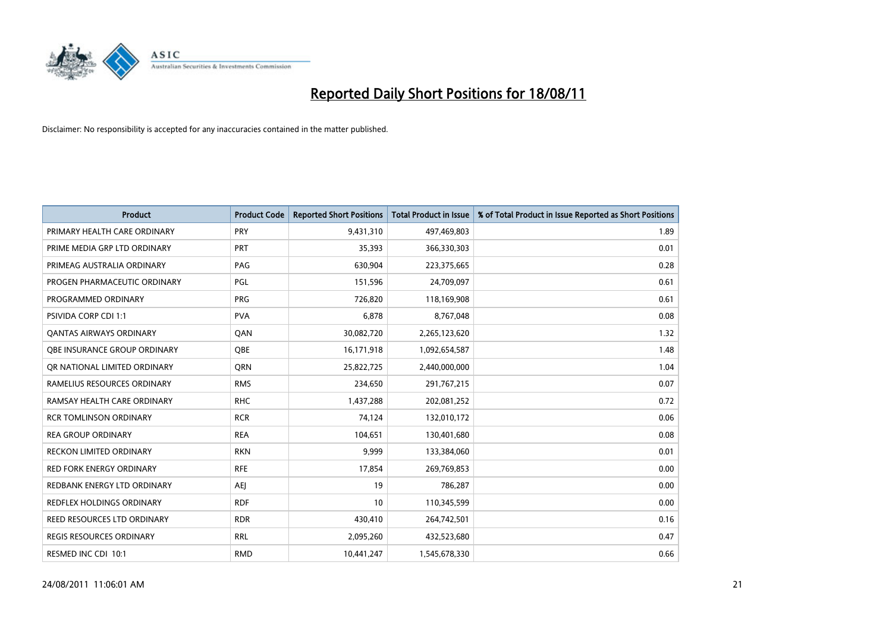

| <b>Product</b>                  | <b>Product Code</b> | <b>Reported Short Positions</b> | <b>Total Product in Issue</b> | % of Total Product in Issue Reported as Short Positions |
|---------------------------------|---------------------|---------------------------------|-------------------------------|---------------------------------------------------------|
| PRIMARY HEALTH CARE ORDINARY    | PRY                 | 9,431,310                       | 497,469,803                   | 1.89                                                    |
| PRIME MEDIA GRP LTD ORDINARY    | PRT                 | 35,393                          | 366,330,303                   | 0.01                                                    |
| PRIMEAG AUSTRALIA ORDINARY      | PAG                 | 630,904                         | 223,375,665                   | 0.28                                                    |
| PROGEN PHARMACEUTIC ORDINARY    | PGL                 | 151,596                         | 24,709,097                    | 0.61                                                    |
| PROGRAMMED ORDINARY             | <b>PRG</b>          | 726,820                         | 118,169,908                   | 0.61                                                    |
| <b>PSIVIDA CORP CDI 1:1</b>     | <b>PVA</b>          | 6,878                           | 8,767,048                     | 0.08                                                    |
| <b>QANTAS AIRWAYS ORDINARY</b>  | QAN                 | 30,082,720                      | 2,265,123,620                 | 1.32                                                    |
| OBE INSURANCE GROUP ORDINARY    | <b>QBE</b>          | 16,171,918                      | 1,092,654,587                 | 1.48                                                    |
| OR NATIONAL LIMITED ORDINARY    | <b>ORN</b>          | 25,822,725                      | 2,440,000,000                 | 1.04                                                    |
| RAMELIUS RESOURCES ORDINARY     | <b>RMS</b>          | 234,650                         | 291,767,215                   | 0.07                                                    |
| RAMSAY HEALTH CARE ORDINARY     | <b>RHC</b>          | 1,437,288                       | 202,081,252                   | 0.72                                                    |
| <b>RCR TOMLINSON ORDINARY</b>   | <b>RCR</b>          | 74,124                          | 132,010,172                   | 0.06                                                    |
| <b>REA GROUP ORDINARY</b>       | <b>REA</b>          | 104,651                         | 130,401,680                   | 0.08                                                    |
| <b>RECKON LIMITED ORDINARY</b>  | <b>RKN</b>          | 9,999                           | 133,384,060                   | 0.01                                                    |
| <b>RED FORK ENERGY ORDINARY</b> | <b>RFE</b>          | 17,854                          | 269,769,853                   | 0.00                                                    |
| REDBANK ENERGY LTD ORDINARY     | <b>AEI</b>          | 19                              | 786,287                       | 0.00                                                    |
| REDFLEX HOLDINGS ORDINARY       | <b>RDF</b>          | 10                              | 110,345,599                   | 0.00                                                    |
| REED RESOURCES LTD ORDINARY     | <b>RDR</b>          | 430,410                         | 264,742,501                   | 0.16                                                    |
| <b>REGIS RESOURCES ORDINARY</b> | <b>RRL</b>          | 2,095,260                       | 432,523,680                   | 0.47                                                    |
| RESMED INC CDI 10:1             | <b>RMD</b>          | 10,441,247                      | 1,545,678,330                 | 0.66                                                    |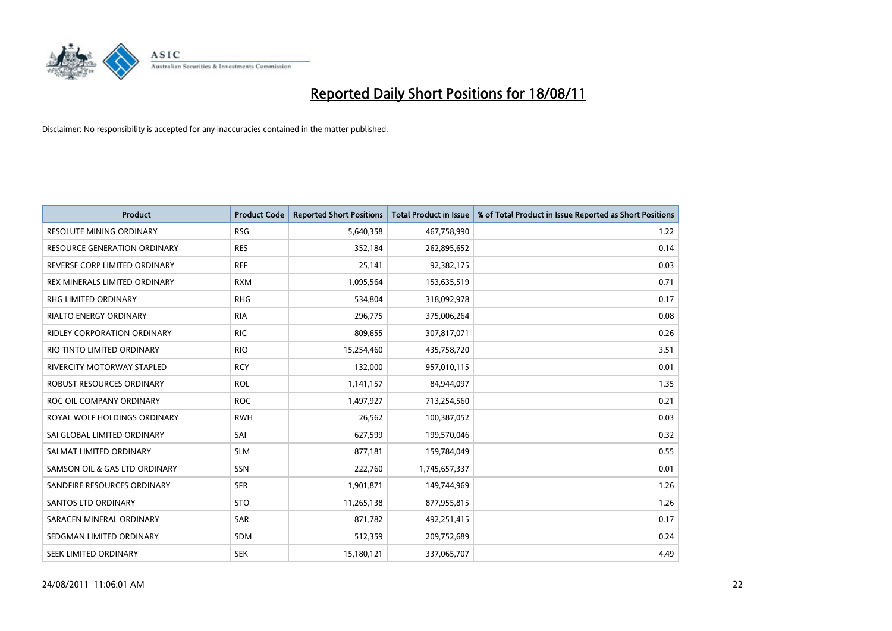

| <b>Product</b>                      | <b>Product Code</b> | <b>Reported Short Positions</b> | <b>Total Product in Issue</b> | % of Total Product in Issue Reported as Short Positions |
|-------------------------------------|---------------------|---------------------------------|-------------------------------|---------------------------------------------------------|
| <b>RESOLUTE MINING ORDINARY</b>     | <b>RSG</b>          | 5,640,358                       | 467,758,990                   | 1.22                                                    |
| <b>RESOURCE GENERATION ORDINARY</b> | <b>RES</b>          | 352,184                         | 262,895,652                   | 0.14                                                    |
| REVERSE CORP LIMITED ORDINARY       | <b>REF</b>          | 25,141                          | 92,382,175                    | 0.03                                                    |
| REX MINERALS LIMITED ORDINARY       | <b>RXM</b>          | 1,095,564                       | 153,635,519                   | 0.71                                                    |
| <b>RHG LIMITED ORDINARY</b>         | <b>RHG</b>          | 534,804                         | 318,092,978                   | 0.17                                                    |
| RIALTO ENERGY ORDINARY              | <b>RIA</b>          | 296,775                         | 375,006,264                   | 0.08                                                    |
| <b>RIDLEY CORPORATION ORDINARY</b>  | <b>RIC</b>          | 809,655                         | 307,817,071                   | 0.26                                                    |
| RIO TINTO LIMITED ORDINARY          | <b>RIO</b>          | 15,254,460                      | 435,758,720                   | 3.51                                                    |
| <b>RIVERCITY MOTORWAY STAPLED</b>   | <b>RCY</b>          | 132,000                         | 957,010,115                   | 0.01                                                    |
| ROBUST RESOURCES ORDINARY           | <b>ROL</b>          | 1,141,157                       | 84,944,097                    | 1.35                                                    |
| ROC OIL COMPANY ORDINARY            | <b>ROC</b>          | 1,497,927                       | 713,254,560                   | 0.21                                                    |
| ROYAL WOLF HOLDINGS ORDINARY        | <b>RWH</b>          | 26,562                          | 100,387,052                   | 0.03                                                    |
| SAI GLOBAL LIMITED ORDINARY         | SAI                 | 627,599                         | 199,570,046                   | 0.32                                                    |
| SALMAT LIMITED ORDINARY             | <b>SLM</b>          | 877,181                         | 159,784,049                   | 0.55                                                    |
| SAMSON OIL & GAS LTD ORDINARY       | SSN                 | 222,760                         | 1,745,657,337                 | 0.01                                                    |
| SANDFIRE RESOURCES ORDINARY         | <b>SFR</b>          | 1,901,871                       | 149,744,969                   | 1.26                                                    |
| <b>SANTOS LTD ORDINARY</b>          | <b>STO</b>          | 11,265,138                      | 877,955,815                   | 1.26                                                    |
| SARACEN MINERAL ORDINARY            | <b>SAR</b>          | 871,782                         | 492,251,415                   | 0.17                                                    |
| SEDGMAN LIMITED ORDINARY            | <b>SDM</b>          | 512,359                         | 209,752,689                   | 0.24                                                    |
| <b>SEEK LIMITED ORDINARY</b>        | <b>SEK</b>          | 15,180,121                      | 337,065,707                   | 4.49                                                    |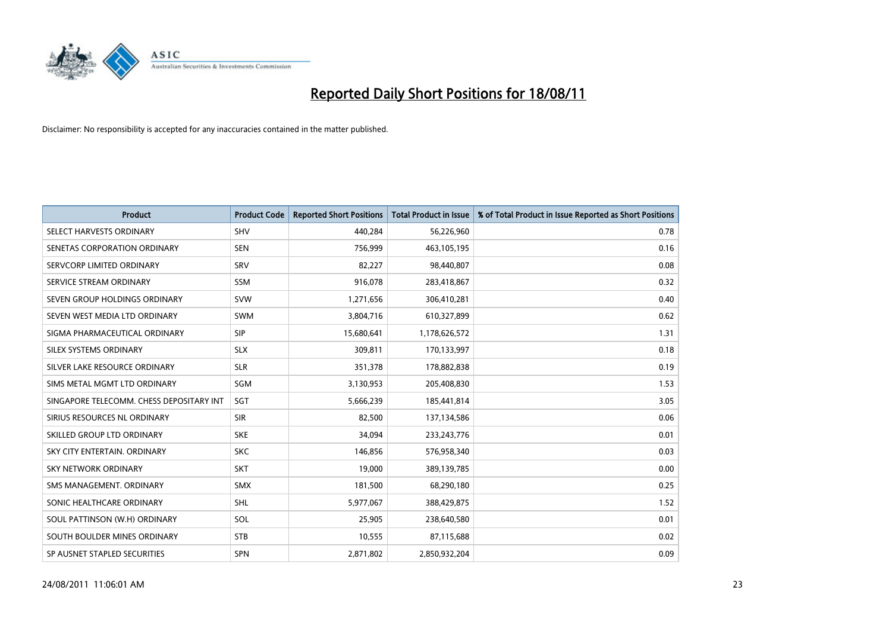

| <b>Product</b>                           | <b>Product Code</b> | <b>Reported Short Positions</b> | <b>Total Product in Issue</b> | % of Total Product in Issue Reported as Short Positions |
|------------------------------------------|---------------------|---------------------------------|-------------------------------|---------------------------------------------------------|
| SELECT HARVESTS ORDINARY                 | SHV                 | 440,284                         | 56,226,960                    | 0.78                                                    |
| SENETAS CORPORATION ORDINARY             | <b>SEN</b>          | 756,999                         | 463,105,195                   | 0.16                                                    |
| SERVCORP LIMITED ORDINARY                | SRV                 | 82,227                          | 98,440,807                    | 0.08                                                    |
| SERVICE STREAM ORDINARY                  | <b>SSM</b>          | 916,078                         | 283,418,867                   | 0.32                                                    |
| SEVEN GROUP HOLDINGS ORDINARY            | <b>SVW</b>          | 1,271,656                       | 306,410,281                   | 0.40                                                    |
| SEVEN WEST MEDIA LTD ORDINARY            | <b>SWM</b>          | 3,804,716                       | 610,327,899                   | 0.62                                                    |
| SIGMA PHARMACEUTICAL ORDINARY            | <b>SIP</b>          | 15,680,641                      | 1,178,626,572                 | 1.31                                                    |
| SILEX SYSTEMS ORDINARY                   | <b>SLX</b>          | 309,811                         | 170,133,997                   | 0.18                                                    |
| SILVER LAKE RESOURCE ORDINARY            | <b>SLR</b>          | 351,378                         | 178,882,838                   | 0.19                                                    |
| SIMS METAL MGMT LTD ORDINARY             | SGM                 | 3,130,953                       | 205,408,830                   | 1.53                                                    |
| SINGAPORE TELECOMM. CHESS DEPOSITARY INT | SGT                 | 5,666,239                       | 185,441,814                   | 3.05                                                    |
| SIRIUS RESOURCES NL ORDINARY             | <b>SIR</b>          | 82,500                          | 137,134,586                   | 0.06                                                    |
| SKILLED GROUP LTD ORDINARY               | <b>SKE</b>          | 34,094                          | 233, 243, 776                 | 0.01                                                    |
| SKY CITY ENTERTAIN, ORDINARY             | <b>SKC</b>          | 146,856                         | 576,958,340                   | 0.03                                                    |
| <b>SKY NETWORK ORDINARY</b>              | <b>SKT</b>          | 19,000                          | 389,139,785                   | 0.00                                                    |
| SMS MANAGEMENT. ORDINARY                 | <b>SMX</b>          | 181,500                         | 68,290,180                    | 0.25                                                    |
| SONIC HEALTHCARE ORDINARY                | <b>SHL</b>          | 5,977,067                       | 388,429,875                   | 1.52                                                    |
| SOUL PATTINSON (W.H) ORDINARY            | SOL                 | 25,905                          | 238,640,580                   | 0.01                                                    |
| SOUTH BOULDER MINES ORDINARY             | <b>STB</b>          | 10,555                          | 87,115,688                    | 0.02                                                    |
| SP AUSNET STAPLED SECURITIES             | <b>SPN</b>          | 2,871,802                       | 2,850,932,204                 | 0.09                                                    |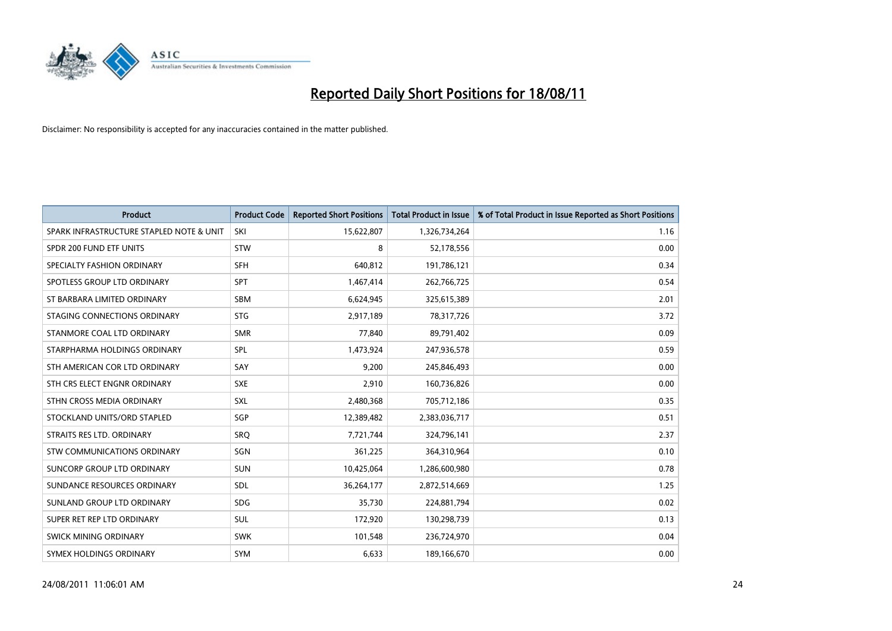

| <b>Product</b>                           | <b>Product Code</b> | <b>Reported Short Positions</b> | <b>Total Product in Issue</b> | % of Total Product in Issue Reported as Short Positions |
|------------------------------------------|---------------------|---------------------------------|-------------------------------|---------------------------------------------------------|
| SPARK INFRASTRUCTURE STAPLED NOTE & UNIT | SKI                 | 15,622,807                      | 1,326,734,264                 | 1.16                                                    |
| SPDR 200 FUND ETF UNITS                  | <b>STW</b>          | 8                               | 52,178,556                    | 0.00                                                    |
| SPECIALTY FASHION ORDINARY               | <b>SFH</b>          | 640,812                         | 191,786,121                   | 0.34                                                    |
| SPOTLESS GROUP LTD ORDINARY              | <b>SPT</b>          | 1,467,414                       | 262,766,725                   | 0.54                                                    |
| ST BARBARA LIMITED ORDINARY              | SBM                 | 6,624,945                       | 325,615,389                   | 2.01                                                    |
| STAGING CONNECTIONS ORDINARY             | <b>STG</b>          | 2,917,189                       | 78,317,726                    | 3.72                                                    |
| STANMORE COAL LTD ORDINARY               | <b>SMR</b>          | 77,840                          | 89,791,402                    | 0.09                                                    |
| STARPHARMA HOLDINGS ORDINARY             | SPL                 | 1,473,924                       | 247,936,578                   | 0.59                                                    |
| STH AMERICAN COR LTD ORDINARY            | SAY                 | 9,200                           | 245,846,493                   | 0.00                                                    |
| STH CRS ELECT ENGNR ORDINARY             | <b>SXE</b>          | 2,910                           | 160,736,826                   | 0.00                                                    |
| STHN CROSS MEDIA ORDINARY                | <b>SXL</b>          | 2,480,368                       | 705,712,186                   | 0.35                                                    |
| STOCKLAND UNITS/ORD STAPLED              | SGP                 | 12,389,482                      | 2,383,036,717                 | 0.51                                                    |
| STRAITS RES LTD. ORDINARY                | SRQ                 | 7,721,744                       | 324,796,141                   | 2.37                                                    |
| <b>STW COMMUNICATIONS ORDINARY</b>       | SGN                 | 361,225                         | 364,310,964                   | 0.10                                                    |
| SUNCORP GROUP LTD ORDINARY               | <b>SUN</b>          | 10,425,064                      | 1,286,600,980                 | 0.78                                                    |
| SUNDANCE RESOURCES ORDINARY              | <b>SDL</b>          | 36,264,177                      | 2,872,514,669                 | 1.25                                                    |
| SUNLAND GROUP LTD ORDINARY               | <b>SDG</b>          | 35,730                          | 224,881,794                   | 0.02                                                    |
| SUPER RET REP LTD ORDINARY               | SUL                 | 172,920                         | 130,298,739                   | 0.13                                                    |
| SWICK MINING ORDINARY                    | <b>SWK</b>          | 101,548                         | 236,724,970                   | 0.04                                                    |
| SYMEX HOLDINGS ORDINARY                  | <b>SYM</b>          | 6,633                           | 189,166,670                   | 0.00                                                    |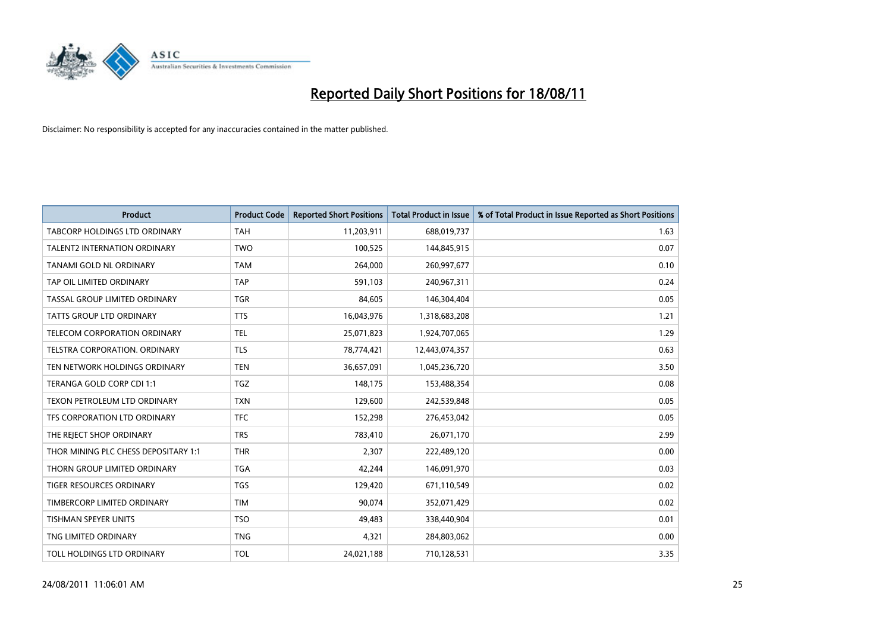

| <b>Product</b>                       | <b>Product Code</b> | <b>Reported Short Positions</b> | <b>Total Product in Issue</b> | % of Total Product in Issue Reported as Short Positions |
|--------------------------------------|---------------------|---------------------------------|-------------------------------|---------------------------------------------------------|
| <b>TABCORP HOLDINGS LTD ORDINARY</b> | <b>TAH</b>          | 11,203,911                      | 688,019,737                   | 1.63                                                    |
| <b>TALENT2 INTERNATION ORDINARY</b>  | <b>TWO</b>          | 100,525                         | 144,845,915                   | 0.07                                                    |
| <b>TANAMI GOLD NL ORDINARY</b>       | <b>TAM</b>          | 264,000                         | 260,997,677                   | 0.10                                                    |
| TAP OIL LIMITED ORDINARY             | <b>TAP</b>          | 591,103                         | 240,967,311                   | 0.24                                                    |
| TASSAL GROUP LIMITED ORDINARY        | <b>TGR</b>          | 84,605                          | 146,304,404                   | 0.05                                                    |
| <b>TATTS GROUP LTD ORDINARY</b>      | <b>TTS</b>          | 16,043,976                      | 1,318,683,208                 | 1.21                                                    |
| TELECOM CORPORATION ORDINARY         | <b>TEL</b>          | 25,071,823                      | 1,924,707,065                 | 1.29                                                    |
| <b>TELSTRA CORPORATION, ORDINARY</b> | <b>TLS</b>          | 78,774,421                      | 12,443,074,357                | 0.63                                                    |
| TEN NETWORK HOLDINGS ORDINARY        | <b>TEN</b>          | 36,657,091                      | 1,045,236,720                 | 3.50                                                    |
| TERANGA GOLD CORP CDI 1:1            | <b>TGZ</b>          | 148.175                         | 153,488,354                   | 0.08                                                    |
| TEXON PETROLEUM LTD ORDINARY         | <b>TXN</b>          | 129,600                         | 242,539,848                   | 0.05                                                    |
| TFS CORPORATION LTD ORDINARY         | <b>TFC</b>          | 152,298                         | 276,453,042                   | 0.05                                                    |
| THE REJECT SHOP ORDINARY             | <b>TRS</b>          | 783,410                         | 26,071,170                    | 2.99                                                    |
| THOR MINING PLC CHESS DEPOSITARY 1:1 | <b>THR</b>          | 2,307                           | 222,489,120                   | 0.00                                                    |
| THORN GROUP LIMITED ORDINARY         | <b>TGA</b>          | 42,244                          | 146,091,970                   | 0.03                                                    |
| <b>TIGER RESOURCES ORDINARY</b>      | <b>TGS</b>          | 129,420                         | 671,110,549                   | 0.02                                                    |
| TIMBERCORP LIMITED ORDINARY          | <b>TIM</b>          | 90,074                          | 352,071,429                   | 0.02                                                    |
| TISHMAN SPEYER UNITS                 | <b>TSO</b>          | 49,483                          | 338,440,904                   | 0.01                                                    |
| TNG LIMITED ORDINARY                 | <b>TNG</b>          | 4,321                           | 284,803,062                   | 0.00                                                    |
| TOLL HOLDINGS LTD ORDINARY           | <b>TOL</b>          | 24,021,188                      | 710,128,531                   | 3.35                                                    |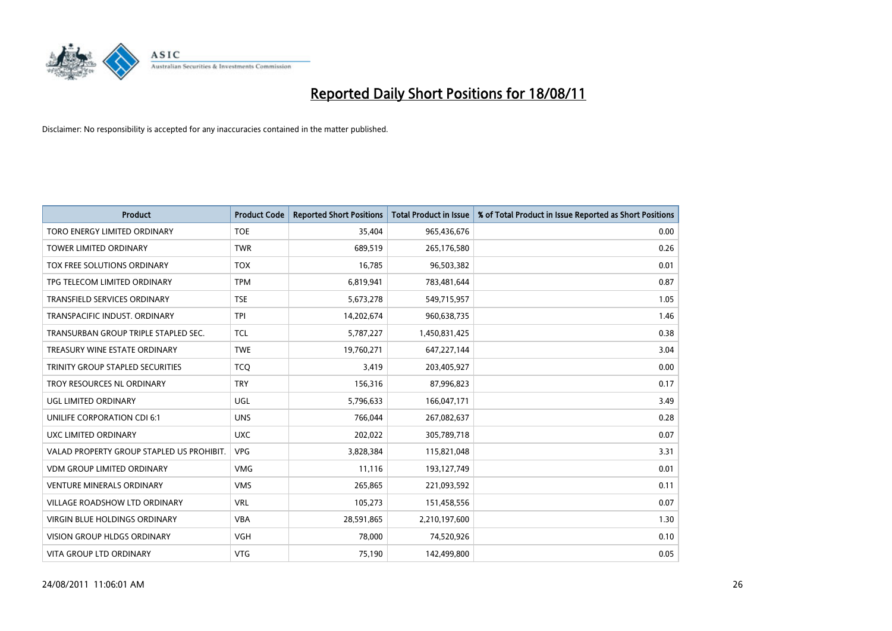

| <b>Product</b>                            | <b>Product Code</b> | <b>Reported Short Positions</b> | <b>Total Product in Issue</b> | % of Total Product in Issue Reported as Short Positions |
|-------------------------------------------|---------------------|---------------------------------|-------------------------------|---------------------------------------------------------|
| TORO ENERGY LIMITED ORDINARY              | <b>TOE</b>          | 35,404                          | 965,436,676                   | 0.00                                                    |
| TOWER LIMITED ORDINARY                    | <b>TWR</b>          | 689,519                         | 265,176,580                   | 0.26                                                    |
| <b>TOX FREE SOLUTIONS ORDINARY</b>        | <b>TOX</b>          | 16.785                          | 96,503,382                    | 0.01                                                    |
| TPG TELECOM LIMITED ORDINARY              | <b>TPM</b>          | 6,819,941                       | 783,481,644                   | 0.87                                                    |
| <b>TRANSFIELD SERVICES ORDINARY</b>       | <b>TSE</b>          | 5,673,278                       | 549,715,957                   | 1.05                                                    |
| TRANSPACIFIC INDUST, ORDINARY             | <b>TPI</b>          | 14,202,674                      | 960,638,735                   | 1.46                                                    |
| TRANSURBAN GROUP TRIPLE STAPLED SEC.      | <b>TCL</b>          | 5,787,227                       | 1,450,831,425                 | 0.38                                                    |
| TREASURY WINE ESTATE ORDINARY             | <b>TWE</b>          | 19,760,271                      | 647,227,144                   | 3.04                                                    |
| TRINITY GROUP STAPLED SECURITIES          | <b>TCO</b>          | 3,419                           | 203,405,927                   | 0.00                                                    |
| TROY RESOURCES NL ORDINARY                | <b>TRY</b>          | 156,316                         | 87,996,823                    | 0.17                                                    |
| UGL LIMITED ORDINARY                      | <b>UGL</b>          | 5,796,633                       | 166,047,171                   | 3.49                                                    |
| UNILIFE CORPORATION CDI 6:1               | <b>UNS</b>          | 766,044                         | 267,082,637                   | 0.28                                                    |
| UXC LIMITED ORDINARY                      | <b>UXC</b>          | 202,022                         | 305,789,718                   | 0.07                                                    |
| VALAD PROPERTY GROUP STAPLED US PROHIBIT. | <b>VPG</b>          | 3,828,384                       | 115,821,048                   | 3.31                                                    |
| <b>VDM GROUP LIMITED ORDINARY</b>         | <b>VMG</b>          | 11,116                          | 193,127,749                   | 0.01                                                    |
| <b>VENTURE MINERALS ORDINARY</b>          | <b>VMS</b>          | 265,865                         | 221,093,592                   | 0.11                                                    |
| VILLAGE ROADSHOW LTD ORDINARY             | <b>VRL</b>          | 105,273                         | 151,458,556                   | 0.07                                                    |
| VIRGIN BLUE HOLDINGS ORDINARY             | <b>VBA</b>          | 28,591,865                      | 2,210,197,600                 | 1.30                                                    |
| <b>VISION GROUP HLDGS ORDINARY</b>        | <b>VGH</b>          | 78,000                          | 74,520,926                    | 0.10                                                    |
| VITA GROUP LTD ORDINARY                   | <b>VTG</b>          | 75,190                          | 142,499,800                   | 0.05                                                    |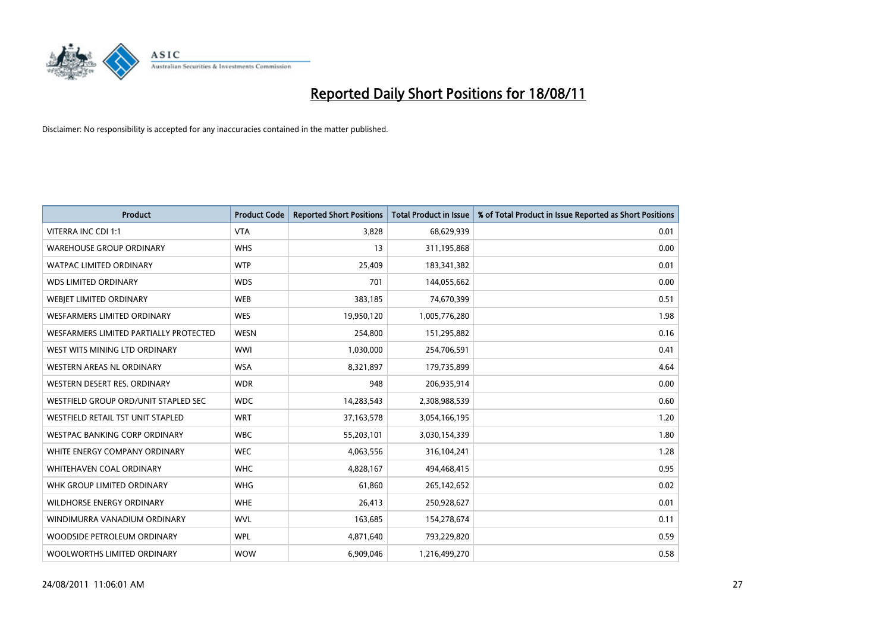

| <b>Product</b>                         | <b>Product Code</b> | <b>Reported Short Positions</b> | <b>Total Product in Issue</b> | % of Total Product in Issue Reported as Short Positions |
|----------------------------------------|---------------------|---------------------------------|-------------------------------|---------------------------------------------------------|
| <b>VITERRA INC CDI 1:1</b>             | <b>VTA</b>          | 3,828                           | 68,629,939                    | 0.01                                                    |
| <b>WAREHOUSE GROUP ORDINARY</b>        | <b>WHS</b>          | 13                              | 311,195,868                   | 0.00                                                    |
| <b>WATPAC LIMITED ORDINARY</b>         | <b>WTP</b>          | 25,409                          | 183,341,382                   | 0.01                                                    |
| <b>WDS LIMITED ORDINARY</b>            | <b>WDS</b>          | 701                             | 144,055,662                   | 0.00                                                    |
| <b>WEBJET LIMITED ORDINARY</b>         | <b>WEB</b>          | 383,185                         | 74,670,399                    | 0.51                                                    |
| <b>WESFARMERS LIMITED ORDINARY</b>     | <b>WES</b>          | 19,950,120                      | 1,005,776,280                 | 1.98                                                    |
| WESFARMERS LIMITED PARTIALLY PROTECTED | <b>WESN</b>         | 254,800                         | 151,295,882                   | 0.16                                                    |
| WEST WITS MINING LTD ORDINARY          | <b>WWI</b>          | 1,030,000                       | 254,706,591                   | 0.41                                                    |
| <b>WESTERN AREAS NL ORDINARY</b>       | <b>WSA</b>          | 8,321,897                       | 179,735,899                   | 4.64                                                    |
| WESTERN DESERT RES. ORDINARY           | <b>WDR</b>          | 948                             | 206,935,914                   | 0.00                                                    |
| WESTFIELD GROUP ORD/UNIT STAPLED SEC   | <b>WDC</b>          | 14,283,543                      | 2,308,988,539                 | 0.60                                                    |
| WESTFIELD RETAIL TST UNIT STAPLED      | <b>WRT</b>          | 37, 163, 578                    | 3,054,166,195                 | 1.20                                                    |
| WESTPAC BANKING CORP ORDINARY          | <b>WBC</b>          | 55,203,101                      | 3,030,154,339                 | 1.80                                                    |
| WHITE ENERGY COMPANY ORDINARY          | <b>WEC</b>          | 4,063,556                       | 316,104,241                   | 1.28                                                    |
| WHITEHAVEN COAL ORDINARY               | <b>WHC</b>          | 4,828,167                       | 494,468,415                   | 0.95                                                    |
| WHK GROUP LIMITED ORDINARY             | <b>WHG</b>          | 61,860                          | 265,142,652                   | 0.02                                                    |
| WILDHORSE ENERGY ORDINARY              | <b>WHE</b>          | 26,413                          | 250,928,627                   | 0.01                                                    |
| WINDIMURRA VANADIUM ORDINARY           | <b>WVL</b>          | 163,685                         | 154,278,674                   | 0.11                                                    |
| WOODSIDE PETROLEUM ORDINARY            | <b>WPL</b>          | 4,871,640                       | 793,229,820                   | 0.59                                                    |
| WOOLWORTHS LIMITED ORDINARY            | <b>WOW</b>          | 6,909,046                       | 1,216,499,270                 | 0.58                                                    |